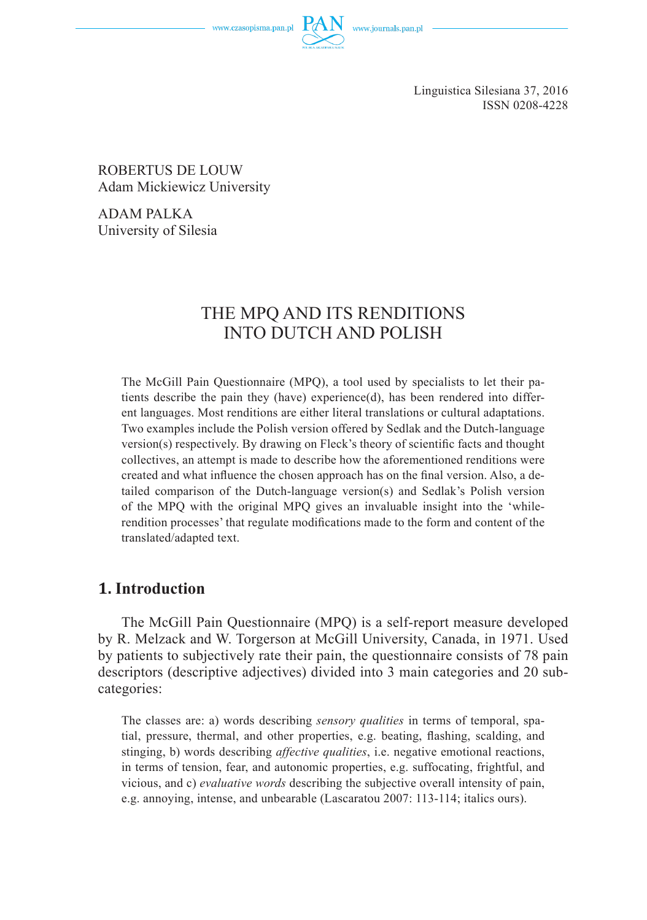www.czasopisma.pan.pl

Linguistica Silesiana 37, 2016 ISSN 0208-4228

ROBERTUS DE LOUW Adam Mickiewicz University

ADAM PALKA University of Silesia

# THE MPQ AND ITS RENDITIONS INTO DUTCH AND POLISH

The McGill Pain Questionnaire (MPQ), a tool used by specialists to let their patients describe the pain they (have) experience(d), has been rendered into different languages. Most renditions are either literal translations or cultural adaptations. Two examples include the Polish version offered by Sedlak and the Dutch-language  $version(s)$  respectively. By drawing on Fleck's theory of scientific facts and thought collectives, an attempt is made to describe how the aforementioned renditions were created and what influence the chosen approach has on the final version. Also, a detailed comparison of the Dutch-language version(s) and Sedlak's Polish version of the MPQ with the original MPQ gives an invaluable insight into the 'whilerendition processes' that regulate modifications made to the form and content of the translated/adapted text.

#### **1. Introduction**

The McGill Pain Questionnaire (MPQ) is a self-report measure developed by R. Melzack and W. Torgerson at McGill University, Canada, in 1971. Used by patients to subjectively rate their pain, the questionnaire consists of 78 pain descriptors (descriptive adjectives) divided into 3 main categories and 20 subcategories:

The classes are: a) words describing *sensory qualities* in terms of temporal, spatial, pressure, thermal, and other properties, e.g. beating, flashing, scalding, and stinging, b) words describing *affective qualities*, i.e. negative emotional reactions, in terms of tension, fear, and autonomic properties, e.g. suffocating, frightful, and vicious, and c) *evaluative words* describing the subjective overall intensity of pain, e.g. annoying, intense, and unbearable (Lascaratou 2007: 113-114; italics ours).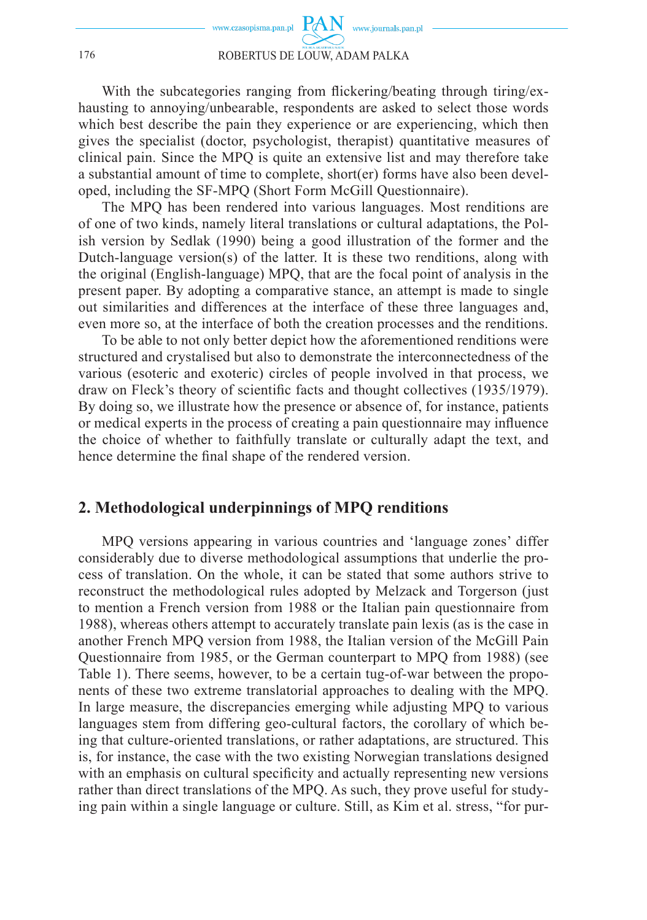With the subcategories ranging from flickering/beating through tiring/exhausting to annoying/unbearable, respondents are asked to select those words which best describe the pain they experience or are experiencing, which then gives the specialist (doctor, psychologist, therapist) quantitative measures of clinical pain. Since the MPQ is quite an extensive list and may therefore take a substantial amount of time to complete, short(er) forms have also been developed, including the SF-MPQ (Short Form McGill Questionnaire).

The MPQ has been rendered into various languages. Most renditions are of one of two kinds, namely literal translations or cultural adaptations, the Polish version by Sedlak (1990) being a good illustration of the former and the Dutch-language version(s) of the latter. It is these two renditions, along with the original (English-language) MPQ, that are the focal point of analysis in the present paper. By adopting a comparative stance, an attempt is made to single out similarities and differences at the interface of these three languages and, even more so, at the interface of both the creation processes and the renditions.

To be able to not only better depict how the aforementioned renditions were structured and crystalised but also to demonstrate the interconnectedness of the various (esoteric and exoteric) circles of people involved in that process, we draw on Fleck's theory of scientific facts and thought collectives (1935/1979). By doing so, we illustrate how the presence or absence of, for instance, patients or medical experts in the process of creating a pain questionnaire may influence the choice of whether to faithfully translate or culturally adapt the text, and hence determine the final shape of the rendered version.

#### **2. Methodological underpinnings of MPQ renditions**

MPQ versions appearing in various countries and 'language zones' differ considerably due to diverse methodological assumptions that underlie the process of translation. On the whole, it can be stated that some authors strive to reconstruct the methodological rules adopted by Melzack and Torgerson (just to mention a French version from 1988 or the Italian pain questionnaire from 1988), whereas others attempt to accurately translate pain lexis (as is the case in another French MPQ version from 1988, the Italian version of the McGill Pain Questionnaire from 1985, or the German counterpart to MPQ from 1988) (see Table 1). There seems, however, to be a certain tug-of-war between the proponents of these two extreme translatorial approaches to dealing with the MPQ. In large measure, the discrepancies emerging while adjusting MPQ to various languages stem from differing geo-cultural factors, the corollary of which being that culture-oriented translations, or rather adaptations, are structured. This is, for instance, the case with the two existing Norwegian translations designed with an emphasis on cultural specificity and actually representing new versions rather than direct translations of the MPQ. As such, they prove useful for studying pain within a single language or culture. Still, as Kim et al. stress, "for pur-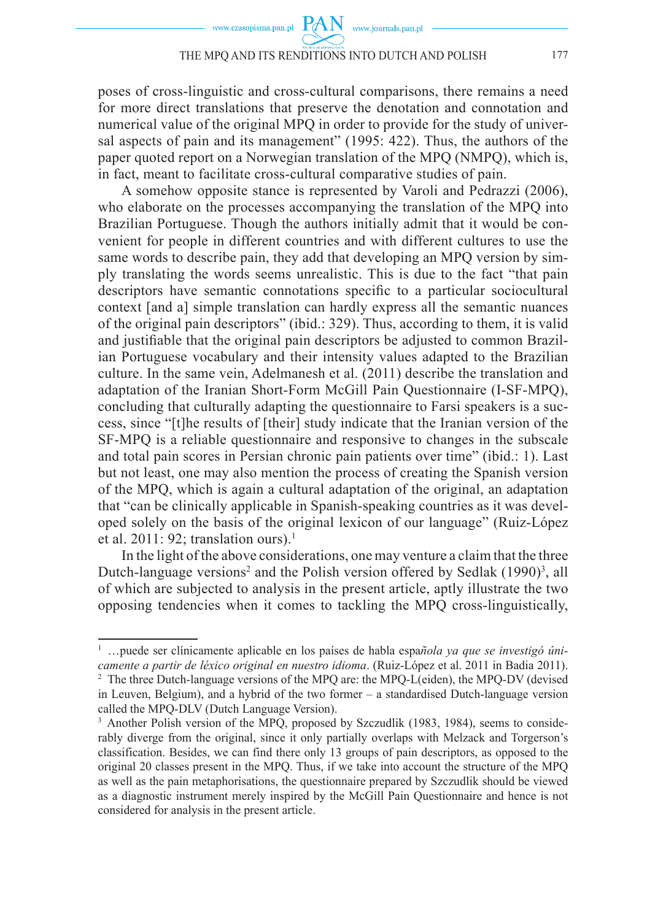poses of cross-linguistic and cross-cultural comparisons, there remains a need for more direct translations that preserve the denotation and connotation and numerical value of the original MPQ in order to provide for the study of universal aspects of pain and its management" (1995: 422). Thus, the authors of the paper quoted report on a Norwegian translation of the MPQ (NMPQ), which is, in fact, meant to facilitate cross-cultural comparative studies of pain.

A somehow opposite stance is represented by Varoli and Pedrazzi (2006), who elaborate on the processes accompanying the translation of the MPQ into Brazilian Portuguese. Though the authors initially admit that it would be convenient for people in different countries and with different cultures to use the same words to describe pain, they add that developing an MPQ version by simply translating the words seems unrealistic. This is due to the fact "that pain descriptors have semantic connotations specific to a particular sociocultural context [and a] simple translation can hardly express all the semantic nuances of the original pain descriptors" (ibid.: 329). Thus, according to them, it is valid and justifiable that the original pain descriptors be adjusted to common Brazilian Portuguese vocabulary and their intensity values adapted to the Brazilian culture. In the same vein, Adelmanesh et al. (2011) describe the translation and adaptation of the Iranian Short-Form McGill Pain Questionnaire (I-SF-MPQ), concluding that culturally adapting the questionnaire to Farsi speakers is a success, since "[t]he results of [their] study indicate that the Iranian version of the SF-MPQ is a reliable questionnaire and responsive to changes in the subscale and total pain scores in Persian chronic pain patients over time" (ibid.: 1). Last but not least, one may also mention the process of creating the Spanish version of the MPQ, which is again a cultural adaptation of the original, an adaptation that "can be clinically applicable in Spanish-speaking countries as it was developed solely on the basis of the original lexicon of our language" (Ruiz-López et al. 2011: 92: translation ours).<sup>1</sup>

In the light of the above considerations, one may venture a claim that the three Dutch-language versions<sup>2</sup> and the Polish version offered by Sedlak (1990)<sup>3</sup>, all of which are subjected to analysis in the present article, aptly illustrate the two opposing tendencies when it comes to tackling the MPQ cross-linguistically,

<sup>1</sup> …puede ser clínicamente aplicable en los países de habla espa*ñola ya que se investigó únicamente a partir de léxico original en nuestro idioma*. (Ruiz-López et al. 2011 in Badia 2011). <sup>2</sup> The three Dutch-language versions of the MPQ are: the MPQ-L(eiden), the MPQ-DV (devised in Leuven, Belgium), and a hybrid of the two former – a standardised Dutch-language version called the MPQ-DLV (Dutch Language Version).

<sup>&</sup>lt;sup>3</sup> Another Polish version of the MPQ, proposed by Szczudlik (1983, 1984), seems to considerably diverge from the original, since it only partially overlaps with Melzack and Torgerson's classification. Besides, we can find there only 13 groups of pain descriptors, as opposed to the original 20 classes present in the MPQ. Thus, if we take into account the structure of the MPQ as well as the pain metaphorisations, the questionnaire prepared by Szczudlik should be viewed as a diagnostic instrument merely inspired by the McGill Pain Questionnaire and hence is not considered for analysis in the present article.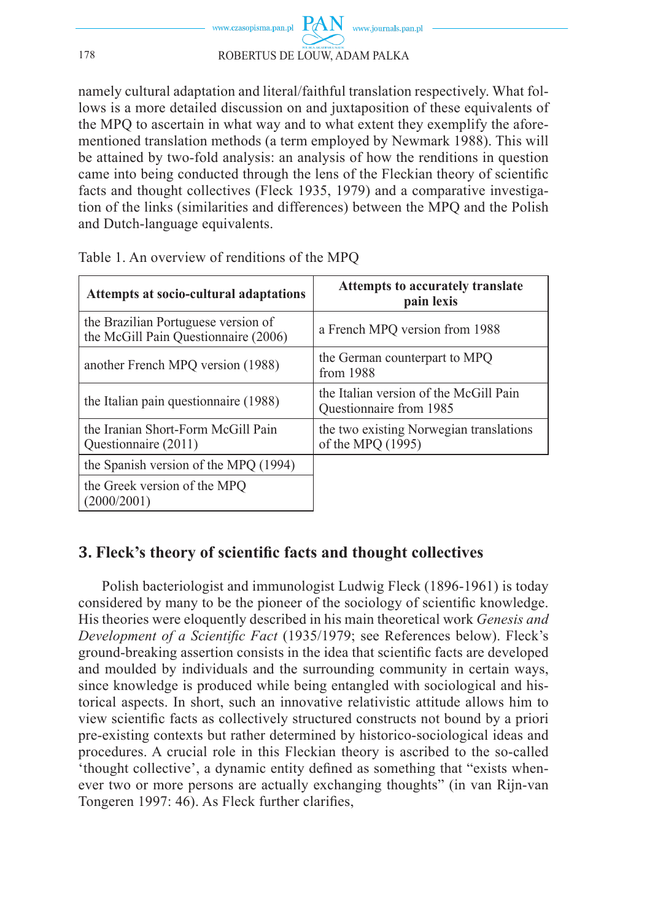

namely cultural adaptation and literal/faithful translation respectively. What follows is a more detailed discussion on and juxtaposition of these equivalents of the MPQ to ascertain in what way and to what extent they exemplify the aforementioned translation methods (a term employed by Newmark 1988). This will be attained by two-fold analysis: an analysis of how the renditions in question came into being conducted through the lens of the Fleckian theory of scientific facts and thought collectives (Fleck 1935, 1979) and a comparative investigation of the links (similarities and differences) between the MPQ and the Polish and Dutch-language equivalents.

| Attempts at socio-cultural adaptations                                      | Attempts to accurately translate<br>pain lexis                    |
|-----------------------------------------------------------------------------|-------------------------------------------------------------------|
| the Brazilian Portuguese version of<br>the McGill Pain Questionnaire (2006) | a French MPQ version from 1988                                    |
| another French MPQ version (1988)                                           | the German counterpart to MPO<br>from 1988                        |
| the Italian pain question aire (1988)                                       | the Italian version of the McGill Pain<br>Ouestionnaire from 1985 |
| the Iranian Short-Form McGill Pain<br>Ouestionnaire (2011)                  | the two existing Norwegian translations<br>of the MPQ (1995)      |
| the Spanish version of the MPQ (1994)                                       |                                                                   |
| the Greek version of the MPQ<br>(2000/2001)                                 |                                                                   |

Table 1. An overview of renditions of the MPQ

# **3. Fleck's theory of scientific facts and thought collectives**

Polish bacteriologist and immunologist Ludwig Fleck (1896-1961) is today considered by many to be the pioneer of the sociology of scientific knowledge. His theories were eloquently described in his main theoretical work *Genesis and Development of a Scientific Fact* (1935/1979; see References below). Fleck's ground-breaking assertion consists in the idea that scientific facts are developed and moulded by individuals and the surrounding community in certain ways, since knowledge is produced while being entangled with sociological and historical aspects. In short, such an innovative relativistic attitude allows him to view scientific facts as collectively structured constructs not bound by a priori pre-existing contexts but rather determined by historico-sociological ideas and procedures. A crucial role in this Fleckian theory is ascribed to the so-called 'thought collective', a dynamic entity defined as something that "exists whenever two or more persons are actually exchanging thoughts" (in van Rijn-van Tongeren 1997: 46). As Fleck further clarifies,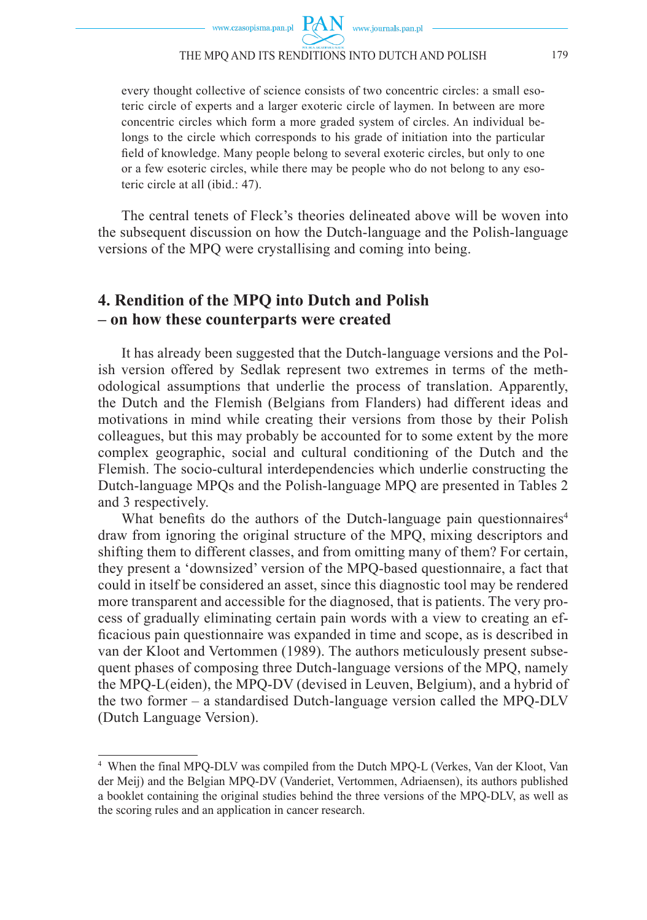www.journals.pan.pl

**PAN** 

every thought collective of science consists of two concentric circles: a small esoteric circle of experts and a larger exoteric circle of laymen. In between are more concentric circles which form a more graded system of circles. An individual belongs to the circle which corresponds to his grade of initiation into the particular field of knowledge. Many people belong to several exoteric circles, but only to one or a few esoteric circles, while there may be people who do not belong to any esoteric circle at all (ibid.: 47).

The central tenets of Fleck's theories delineated above will be woven into the subsequent discussion on how the Dutch-language and the Polish-language versions of the MPQ were crystallising and coming into being.

### **4. Rendition of the MPQ into Dutch and Polish – on how these counterparts were created**

It has already been suggested that the Dutch-language versions and the Polish version offered by Sedlak represent two extremes in terms of the methodological assumptions that underlie the process of translation. Apparently, the Dutch and the Flemish (Belgians from Flanders) had different ideas and motivations in mind while creating their versions from those by their Polish colleagues, but this may probably be accounted for to some extent by the more complex geographic, social and cultural conditioning of the Dutch and the Flemish. The socio-cultural interdependencies which underlie constructing the Dutch-language MPQs and the Polish-language MPQ are presented in Tables 2 and 3 respectively.

What benefits do the authors of the Dutch-language pain questionnaires<sup>4</sup> draw from ignoring the original structure of the MPQ, mixing descriptors and shifting them to different classes, and from omitting many of them? For certain, they present a 'downsized' version of the MPQ-based questionnaire, a fact that could in itself be considered an asset, since this diagnostic tool may be rendered more transparent and accessible for the diagnosed, that is patients. The very process of gradually eliminating certain pain words with a view to creating an efficacious pain questionnaire was expanded in time and scope, as is described in van der Kloot and Vertommen (1989). The authors meticulously present subsequent phases of composing three Dutch-language versions of the MPQ, namely the MPQ-L(eiden), the MPQ-DV (devised in Leuven, Belgium), and a hybrid of the two former – a standardised Dutch-language version called the MPQ-DLV (Dutch Language Version).

<sup>4</sup> When the final MPQ-DLV was compiled from the Dutch MPQ-L (Verkes, Van der Kloot, Van der Meij) and the Belgian MPQ-DV (Vanderiet, Vertommen, Adriaensen), its authors published a booklet containing the original studies behind the three versions of the MPQ-DLV, as well as the scoring rules and an application in cancer research.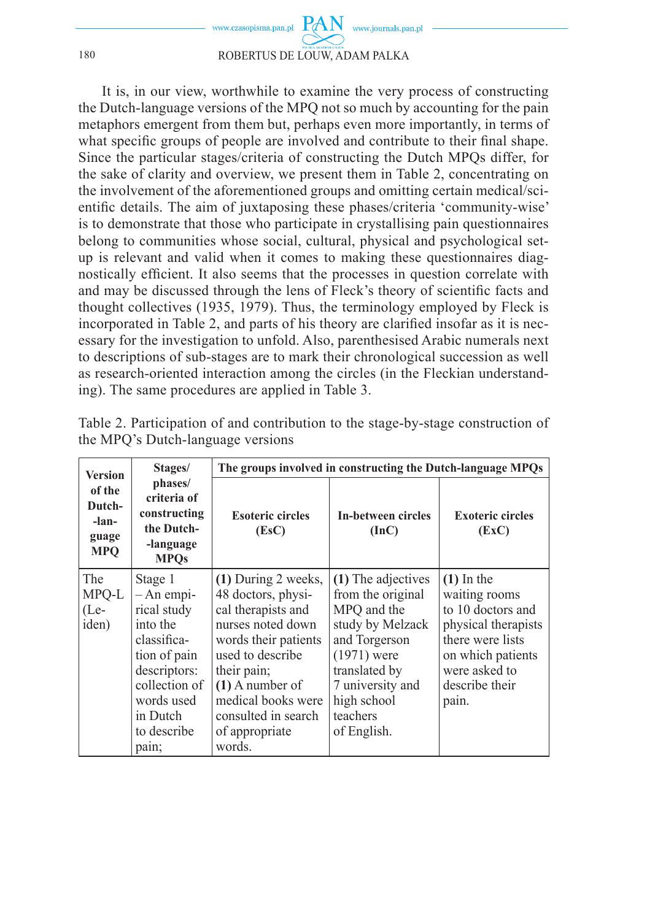

It is, in our view, worthwhile to examine the very process of constructing the Dutch-language versions of the MPQ not so much by accounting for the pain metaphors emergent from them but, perhaps even more importantly, in terms of what specific groups of people are involved and contribute to their final shape. Since the particular stages/criteria of constructing the Dutch MPQs differ, for the sake of clarity and overview, we present them in Table 2, concentrating on the involvement of the aforementioned groups and omitting certain medical/scientific details. The aim of juxtaposing these phases/criteria 'community-wise' is to demonstrate that those who participate in crystallising pain questionnaires belong to communities whose social, cultural, physical and psychological setup is relevant and valid when it comes to making these questionnaires diagnostically efficient. It also seems that the processes in question correlate with and may be discussed through the lens of Fleck's theory of scientific facts and thought collectives (1935, 1979). Thus, the terminology employed by Fleck is incorporated in Table 2, and parts of his theory are clarified insofar as it is necessary for the investigation to unfold. Also, parenthesised Arabic numerals next to descriptions of sub-stages are to mark their chronological succession as well as research-oriented interaction among the circles (in the Fleckian understanding). The same procedures are applied in Table 3.

| <b>Version</b>                                   | Stages/                                                                                                                                                              | The groups involved in constructing the Dutch-language MPQs                                                                                                                                                                                     |                                                                                                                                                                                             |                                                                                                                                                                |
|--------------------------------------------------|----------------------------------------------------------------------------------------------------------------------------------------------------------------------|-------------------------------------------------------------------------------------------------------------------------------------------------------------------------------------------------------------------------------------------------|---------------------------------------------------------------------------------------------------------------------------------------------------------------------------------------------|----------------------------------------------------------------------------------------------------------------------------------------------------------------|
| of the<br>Dutch-<br>-lan-<br>guage<br><b>MPQ</b> | phases/<br>criteria of<br>constructing<br>the Dutch-<br>-language<br><b>MPOs</b>                                                                                     | <b>Esoteric circles</b><br>(EsC)                                                                                                                                                                                                                | In-between circles<br>(InC)                                                                                                                                                                 | <b>Exoteric circles</b><br>(EXC)                                                                                                                               |
| <b>The</b><br>MPQ-L<br>$(Le-$<br>iden)           | Stage 1<br>$-$ An empi-<br>rical study<br>into the<br>classifica-<br>tion of pain<br>descriptors:<br>collection of<br>words used<br>in Dutch<br>to describe<br>pain; | $(1)$ During 2 weeks,<br>48 doctors, physi-<br>cal therapists and<br>nurses noted down<br>words their patients<br>used to describe<br>their pain;<br>$(1)$ A number of<br>medical books were<br>consulted in search<br>of appropriate<br>words. | (1) The adjectives<br>from the original<br>MPQ and the<br>study by Melzack<br>and Torgerson<br>$(1971)$ were<br>translated by<br>7 university and<br>high school<br>teachers<br>of English. | $(1)$ In the<br>waiting rooms<br>to 10 doctors and<br>physical therapists<br>there were lists<br>on which patients<br>were asked to<br>describe their<br>pain. |

Table 2. Participation of and contribution to the stage-by-stage construction of the MPQ's Dutch-language versions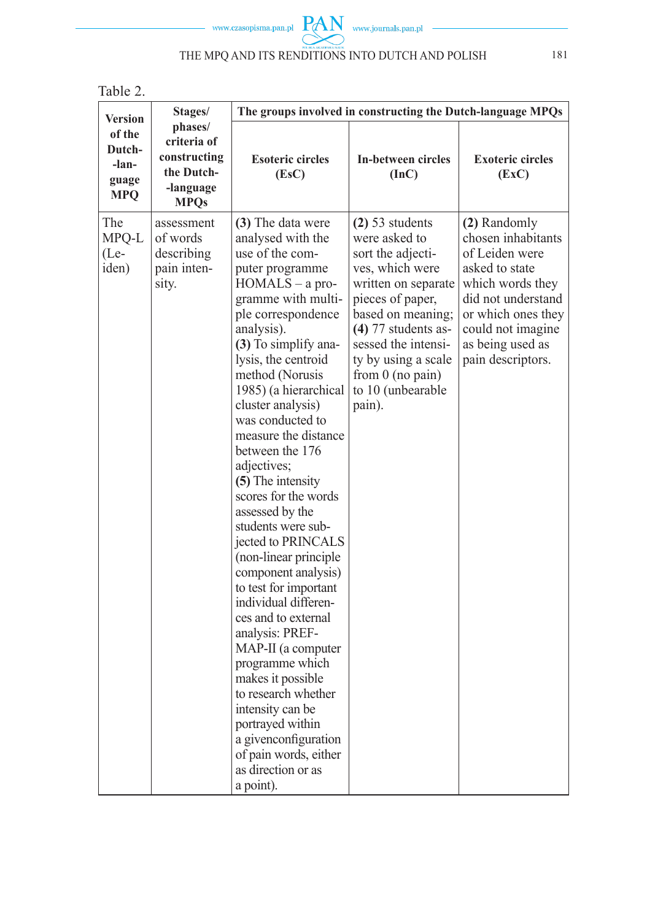

| . . | ., |  |
|-----|----|--|
|     |    |  |

| <b>Version</b>                            | Stages/                                                                          | The groups involved in constructing the Dutch-language MPQs                                                                                                                                                                                                                                                                                                                                                                                                                                                                                                                                                                                                                                                                                                                                                                     |                                                                                                                                                                                                                                                                        |                                                                                                                                                                                                      |
|-------------------------------------------|----------------------------------------------------------------------------------|---------------------------------------------------------------------------------------------------------------------------------------------------------------------------------------------------------------------------------------------------------------------------------------------------------------------------------------------------------------------------------------------------------------------------------------------------------------------------------------------------------------------------------------------------------------------------------------------------------------------------------------------------------------------------------------------------------------------------------------------------------------------------------------------------------------------------------|------------------------------------------------------------------------------------------------------------------------------------------------------------------------------------------------------------------------------------------------------------------------|------------------------------------------------------------------------------------------------------------------------------------------------------------------------------------------------------|
| of the<br>Dutch-<br>-lan-<br>guage<br>MPQ | phases/<br>criteria of<br>constructing<br>the Dutch-<br>-language<br><b>MPQs</b> | <b>Esoteric circles</b><br>(Esc)                                                                                                                                                                                                                                                                                                                                                                                                                                                                                                                                                                                                                                                                                                                                                                                                | In-between circles<br>(Inc)                                                                                                                                                                                                                                            | <b>Exoteric circles</b><br>(EXC)                                                                                                                                                                     |
| The<br>MPQ-L<br>$(Le-$<br>iden)           | assessment<br>of words<br>describing<br>pain inten-<br>sity.                     | (3) The data were<br>analysed with the<br>use of the com-<br>puter programme<br>HOMALS - a pro-<br>gramme with multi-<br>ple correspondence<br>analysis).<br>(3) To simplify ana-<br>lysis, the centroid<br>method (Norusis<br>1985) (a hierarchical<br>cluster analysis)<br>was conducted to<br>measure the distance<br>between the 176<br>adjectives;<br>(5) The intensity<br>scores for the words<br>assessed by the<br>students were sub-<br>jected to PRINCALS<br>(non-linear principle<br>component analysis)<br>to test for important<br>individual differen-<br>ces and to external<br>analysis: PREF-<br>MAP-II (a computer<br>programme which<br>makes it possible<br>to research whether<br>intensity can be<br>portrayed within<br>a givenconfiguration<br>of pain words, either<br>as direction or as<br>a point). | $(2)$ 53 students<br>were asked to<br>sort the adjecti-<br>ves, which were<br>written on separate<br>pieces of paper,<br>based on meaning;<br>$(4)$ 77 students as-<br>sessed the intensi-<br>ty by using a scale<br>from $0$ (no pain)<br>to 10 (unbearable<br>pain). | (2) Randomly<br>chosen inhabitants<br>of Leiden were<br>asked to state<br>which words they<br>did not understand<br>or which ones they<br>could not imagine<br>as being used as<br>pain descriptors. |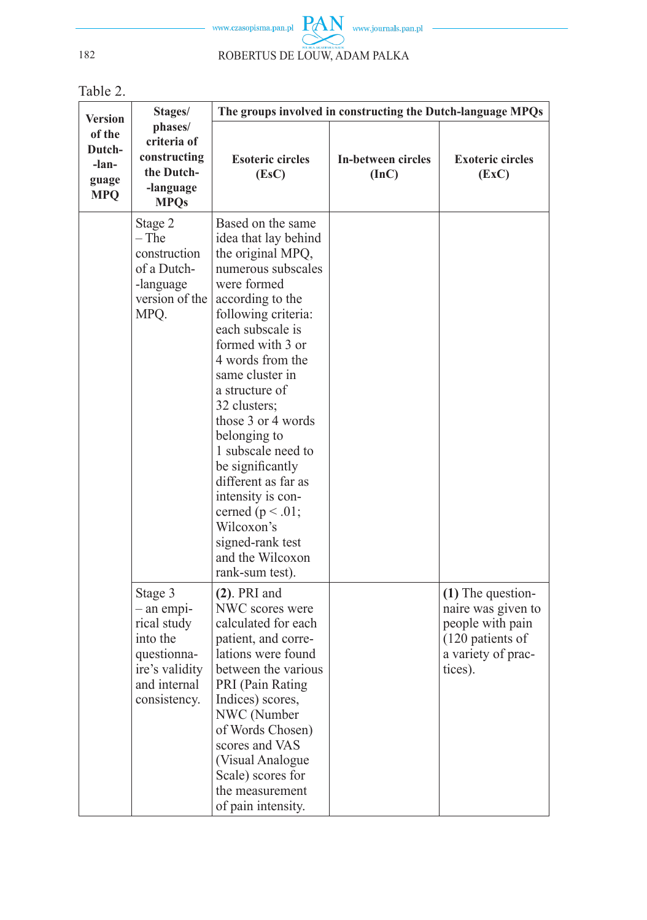

Table 2.

| <b>Version</b>                                   | Stages/                                                                                                           | The groups involved in constructing the Dutch-language MPQs                                                                                                                                                                                                                                                                                                                                                                                                                                  |                             |                                                                                                                    |
|--------------------------------------------------|-------------------------------------------------------------------------------------------------------------------|----------------------------------------------------------------------------------------------------------------------------------------------------------------------------------------------------------------------------------------------------------------------------------------------------------------------------------------------------------------------------------------------------------------------------------------------------------------------------------------------|-----------------------------|--------------------------------------------------------------------------------------------------------------------|
| of the<br>Dutch-<br>-lan-<br>guage<br><b>MPQ</b> | phases/<br>criteria of<br>constructing<br>the Dutch-<br>-language<br><b>MPQs</b>                                  | <b>Esoteric circles</b><br>(Esc)                                                                                                                                                                                                                                                                                                                                                                                                                                                             | In-between circles<br>(InC) | <b>Exoteric circles</b><br>(EXC)                                                                                   |
|                                                  | Stage 2<br>$-$ The<br>construction<br>of a Dutch-<br>-language<br>version of the<br>MPQ.                          | Based on the same<br>idea that lay behind<br>the original MPQ,<br>numerous subscales<br>were formed<br>according to the<br>following criteria:<br>each subscale is<br>formed with 3 or<br>4 words from the<br>same cluster in<br>a structure of<br>32 clusters;<br>those 3 or 4 words<br>belonging to<br>1 subscale need to<br>be significantly<br>different as far as<br>intensity is con-<br>cerned ( $p < .01$ ;<br>Wilcoxon's<br>signed-rank test<br>and the Wilcoxon<br>rank-sum test). |                             |                                                                                                                    |
|                                                  | Stage 3<br>- an empi-<br>rical study<br>into the<br>questionna-<br>ire's validity<br>and internal<br>consistency. | $(2)$ . PRI and<br>NWC scores were<br>calculated for each<br>patient, and corre-<br>lations were found<br>between the various<br>PRI (Pain Rating<br>Indices) scores,<br>NWC (Number<br>of Words Chosen)<br>scores and VAS<br>(Visual Analogue<br>Scale) scores for<br>the measurement<br>of pain intensity.                                                                                                                                                                                 |                             | $(1)$ The question-<br>naire was given to<br>people with pain<br>(120 patients of<br>a variety of prac-<br>tices). |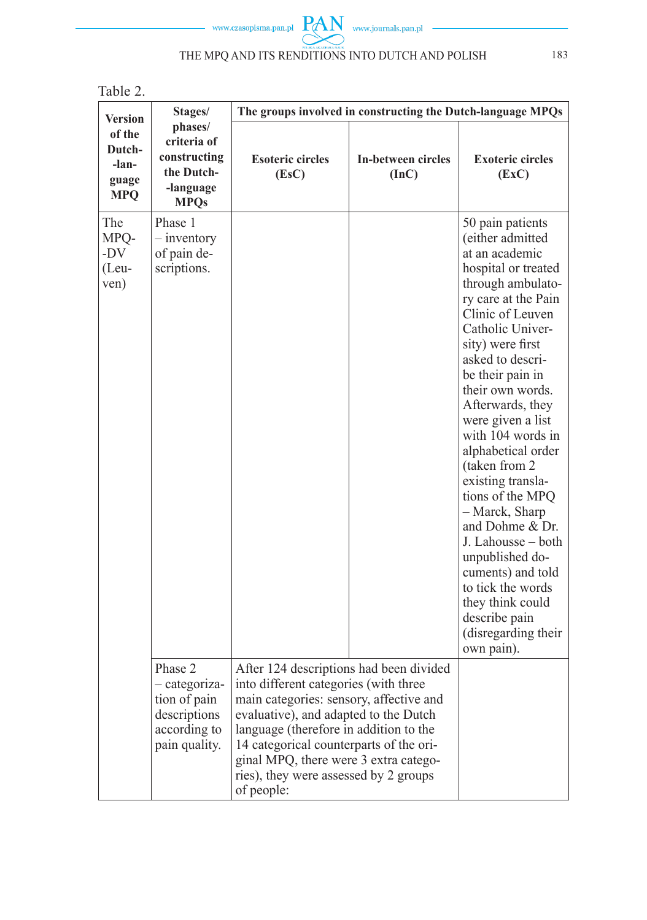

| ., |  |  |  |
|----|--|--|--|
|----|--|--|--|

| <b>Version</b>                                   | Stages/                                                                                   | The groups involved in constructing the Dutch-language MPQs                                                                                                                                                                                                                                                                                               |                                    |                                                                                                                                                                                                                                                                                                                                                                                                                                                                                                                                                                                                     |
|--------------------------------------------------|-------------------------------------------------------------------------------------------|-----------------------------------------------------------------------------------------------------------------------------------------------------------------------------------------------------------------------------------------------------------------------------------------------------------------------------------------------------------|------------------------------------|-----------------------------------------------------------------------------------------------------------------------------------------------------------------------------------------------------------------------------------------------------------------------------------------------------------------------------------------------------------------------------------------------------------------------------------------------------------------------------------------------------------------------------------------------------------------------------------------------------|
| of the<br>Dutch-<br>-lan-<br>guage<br><b>MPQ</b> | phases/<br>criteria of<br>constructing<br>the Dutch-<br>-language<br><b>MPOs</b>          | <b>Esoteric circles</b><br>(EsC)                                                                                                                                                                                                                                                                                                                          | <b>In-between circles</b><br>(Inc) | <b>Exoteric circles</b><br>(EXC)                                                                                                                                                                                                                                                                                                                                                                                                                                                                                                                                                                    |
| The<br>MPQ-<br>$-DV$<br>$(Leu-$<br>ven)          | Phase 1<br>$-$ inventory<br>of pain de-<br>scriptions.                                    |                                                                                                                                                                                                                                                                                                                                                           |                                    | 50 pain patients<br>(either admitted<br>at an academic<br>hospital or treated<br>through ambulato-<br>ry care at the Pain<br>Clinic of Leuven<br>Catholic Univer-<br>sity) were first<br>asked to descri-<br>be their pain in<br>their own words.<br>Afterwards, they<br>were given a list<br>with 104 words in<br>alphabetical order<br>(taken from 2)<br>existing transla-<br>tions of the MPQ<br>- Marck, Sharp<br>and Dohme & Dr.<br>J. Lahousse - both<br>unpublished do-<br>cuments) and told<br>to tick the words<br>they think could<br>describe pain<br>(disregarding their)<br>own pain). |
|                                                  | Phase 2<br>- categoriza-<br>tion of pain<br>descriptions<br>according to<br>pain quality. | After 124 descriptions had been divided<br>into different categories (with three<br>main categories: sensory, affective and<br>evaluative), and adapted to the Dutch<br>language (therefore in addition to the<br>14 categorical counterparts of the ori-<br>ginal MPQ, there were 3 extra catego-<br>ries), they were assessed by 2 groups<br>of people: |                                    |                                                                                                                                                                                                                                                                                                                                                                                                                                                                                                                                                                                                     |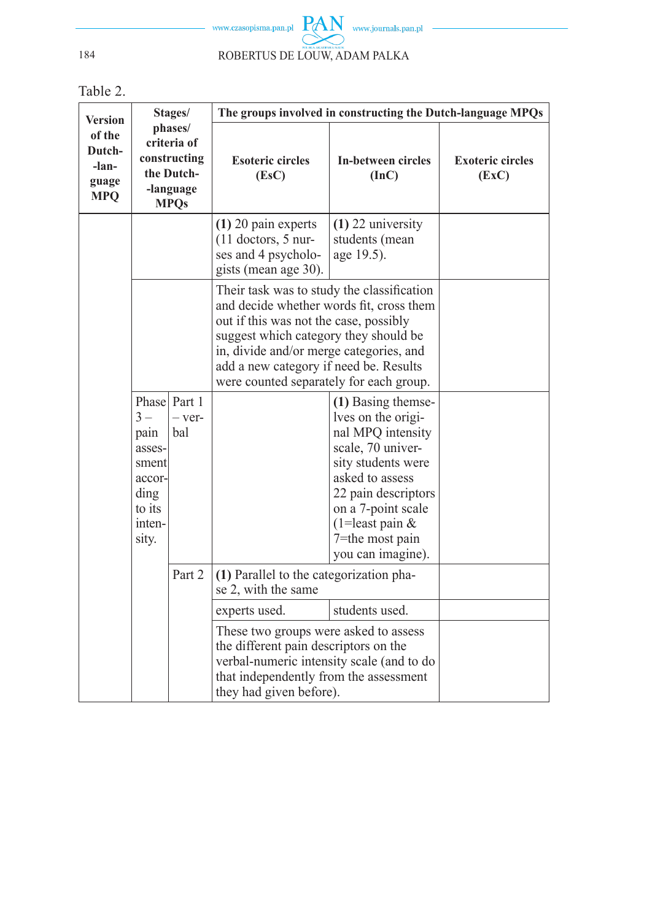

Table 2.

| Version                                          |                                                                                  | Stages/                         | The groups involved in constructing the Dutch-language MPQs                                                                                                                                                                                                                                               |                                                                                                                                                                                                                                       |                                  |
|--------------------------------------------------|----------------------------------------------------------------------------------|---------------------------------|-----------------------------------------------------------------------------------------------------------------------------------------------------------------------------------------------------------------------------------------------------------------------------------------------------------|---------------------------------------------------------------------------------------------------------------------------------------------------------------------------------------------------------------------------------------|----------------------------------|
| of the<br>Dutch-<br>-lan-<br>guage<br><b>MPQ</b> | phases/<br>criteria of<br>constructing<br>the Dutch-<br>-language<br><b>MPOs</b> |                                 | <b>Esoteric circles</b><br>(Esc)                                                                                                                                                                                                                                                                          | In-between circles<br>(InC)                                                                                                                                                                                                           | <b>Exoteric circles</b><br>(EXC) |
|                                                  |                                                                                  |                                 | $(1)$ 20 pain experts<br>$(11$ doctors, 5 nur-<br>ses and 4 psycholo-<br>gists (mean age 30).                                                                                                                                                                                                             | $(1)$ 22 university<br>students (mean<br>age 19.5).                                                                                                                                                                                   |                                  |
|                                                  |                                                                                  |                                 | Their task was to study the classification<br>and decide whether words fit, cross them<br>out if this was not the case, possibly<br>suggest which category they should be<br>in, divide and/or merge categories, and<br>add a new category if need be. Results<br>were counted separately for each group. |                                                                                                                                                                                                                                       |                                  |
|                                                  | $3-$<br>pain<br>asses-<br>sment<br>accor-<br>ding<br>to its<br>inten-<br>sity.   | Phase Part 1<br>$-$ ver-<br>bal |                                                                                                                                                                                                                                                                                                           | (1) Basing themse-<br>lves on the origi-<br>nal MPQ intensity<br>scale, 70 univer-<br>sity students were<br>asked to assess<br>22 pain descriptors<br>on a 7-point scale<br>(1=least pain $&$<br>7=the most pain<br>you can imagine). |                                  |
|                                                  |                                                                                  | Part 2                          | (1) Parallel to the categorization pha-<br>se 2, with the same                                                                                                                                                                                                                                            |                                                                                                                                                                                                                                       |                                  |
|                                                  |                                                                                  |                                 | experts used.                                                                                                                                                                                                                                                                                             | students used.                                                                                                                                                                                                                        |                                  |
|                                                  |                                                                                  |                                 | These two groups were asked to assess<br>the different pain descriptors on the<br>verbal-numeric intensity scale (and to do<br>that independently from the assessment<br>they had given before).                                                                                                          |                                                                                                                                                                                                                                       |                                  |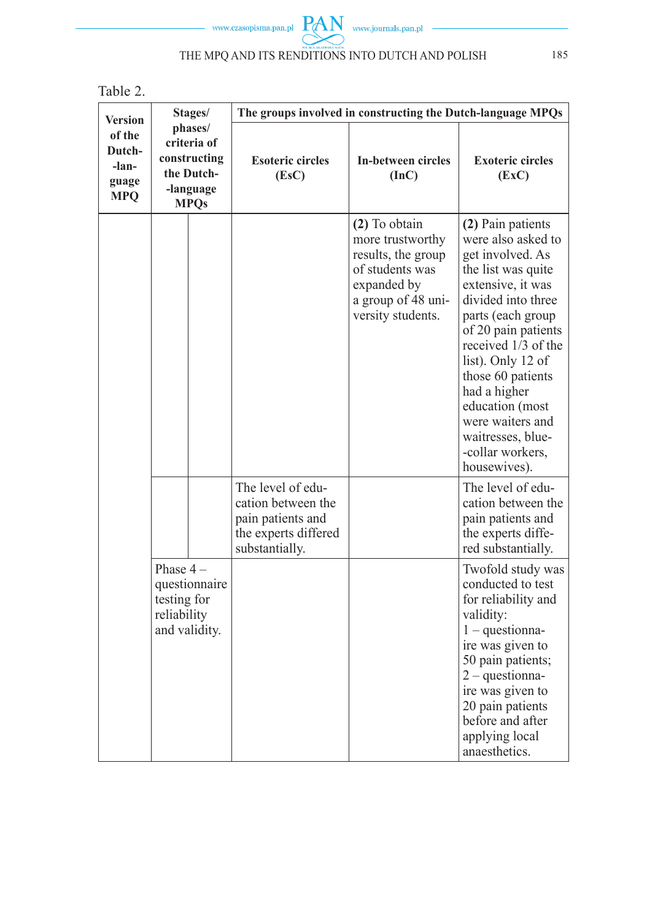

| . .<br>۰. |  |
|-----------|--|
|-----------|--|

| <b>Version</b>                                   | Stages/                                                                          |                                                                                                        | The groups involved in constructing the Dutch-language MPQs                                                                          |                                                                                                                                                                                                                                                                                                                                                           |  |
|--------------------------------------------------|----------------------------------------------------------------------------------|--------------------------------------------------------------------------------------------------------|--------------------------------------------------------------------------------------------------------------------------------------|-----------------------------------------------------------------------------------------------------------------------------------------------------------------------------------------------------------------------------------------------------------------------------------------------------------------------------------------------------------|--|
| of the<br>Dutch-<br>-lan-<br>guage<br><b>MPQ</b> | phases/<br>criteria of<br>constructing<br>the Dutch-<br>-language<br><b>MPQs</b> | <b>Esoteric circles</b><br>(Esc)                                                                       | In-between circles<br>(Inc)                                                                                                          | <b>Exoteric circles</b><br>(EXC)                                                                                                                                                                                                                                                                                                                          |  |
|                                                  |                                                                                  |                                                                                                        | (2) To obtain<br>more trustworthy<br>results, the group<br>of students was<br>expanded by<br>a group of 48 uni-<br>versity students. | (2) Pain patients<br>were also asked to<br>get involved. As<br>the list was quite<br>extensive, it was<br>divided into three<br>parts (each group<br>of 20 pain patients<br>received 1/3 of the<br>list). Only 12 of<br>those 60 patients<br>had a higher<br>education (most<br>were waiters and<br>waitresses, blue-<br>-collar workers,<br>housewives). |  |
|                                                  |                                                                                  | The level of edu-<br>cation between the<br>pain patients and<br>the experts differed<br>substantially. |                                                                                                                                      | The level of edu-<br>cation between the<br>pain patients and<br>the experts diffe-<br>red substantially.                                                                                                                                                                                                                                                  |  |
|                                                  | Phase $4-$<br>questionnaire<br>testing for<br>reliability<br>and validity.       |                                                                                                        |                                                                                                                                      | Twofold study was<br>conducted to test<br>for reliability and<br>validity:<br>$1 - questionna-$<br>ire was given to<br>50 pain patients;<br>$2$ – questionna-<br>ire was given to<br>20 pain patients<br>before and after<br>applying local<br>anaesthetics.                                                                                              |  |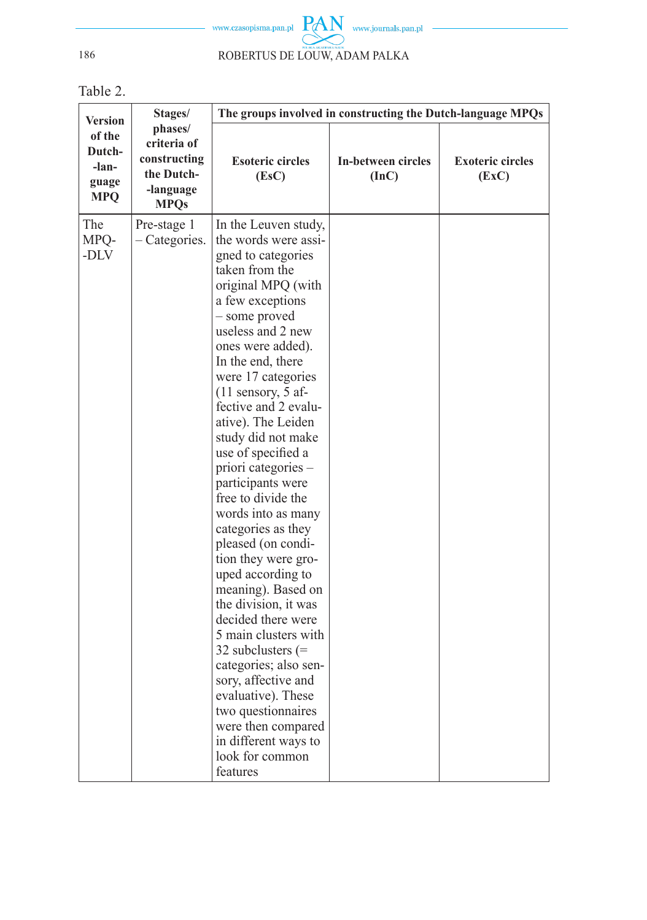

Table 2.

| <b>Version</b>                                   | Stages/                                                                          | The groups involved in constructing the Dutch-language MPQs                                                                                                                                                                                                                                                                                                                                                                                                                                                                                                                                                                                                                                                                                                                                                                        |                             |                                  |
|--------------------------------------------------|----------------------------------------------------------------------------------|------------------------------------------------------------------------------------------------------------------------------------------------------------------------------------------------------------------------------------------------------------------------------------------------------------------------------------------------------------------------------------------------------------------------------------------------------------------------------------------------------------------------------------------------------------------------------------------------------------------------------------------------------------------------------------------------------------------------------------------------------------------------------------------------------------------------------------|-----------------------------|----------------------------------|
| of the<br>Dutch-<br>-lan-<br>guage<br><b>MPQ</b> | phases/<br>criteria of<br>constructing<br>the Dutch-<br>-language<br><b>MPQs</b> | <b>Esoteric circles</b><br>(EsC)                                                                                                                                                                                                                                                                                                                                                                                                                                                                                                                                                                                                                                                                                                                                                                                                   | In-between circles<br>(Inc) | <b>Exoteric circles</b><br>(EXC) |
| The<br>MPQ-<br>-DLV                              | Pre-stage 1<br>- Categories.                                                     | In the Leuven study,<br>the words were assi-<br>gned to categories<br>taken from the<br>original MPQ (with<br>a few exceptions<br>- some proved<br>useless and 2 new<br>ones were added).<br>In the end, there<br>were 17 categories<br>$(11$ sensory, 5 af-<br>fective and 2 evalu-<br>ative). The Leiden<br>study did not make<br>use of specified a<br>priori categories -<br>participants were<br>free to divide the<br>words into as many<br>categories as they<br>pleased (on condi-<br>tion they were gro-<br>uped according to<br>meaning). Based on<br>the division, it was<br>decided there were<br>5 main clusters with<br>32 subclusters $(=$<br>categories; also sen-<br>sory, affective and<br>evaluative). These<br>two questionnaires<br>were then compared<br>in different ways to<br>look for common<br>features |                             |                                  |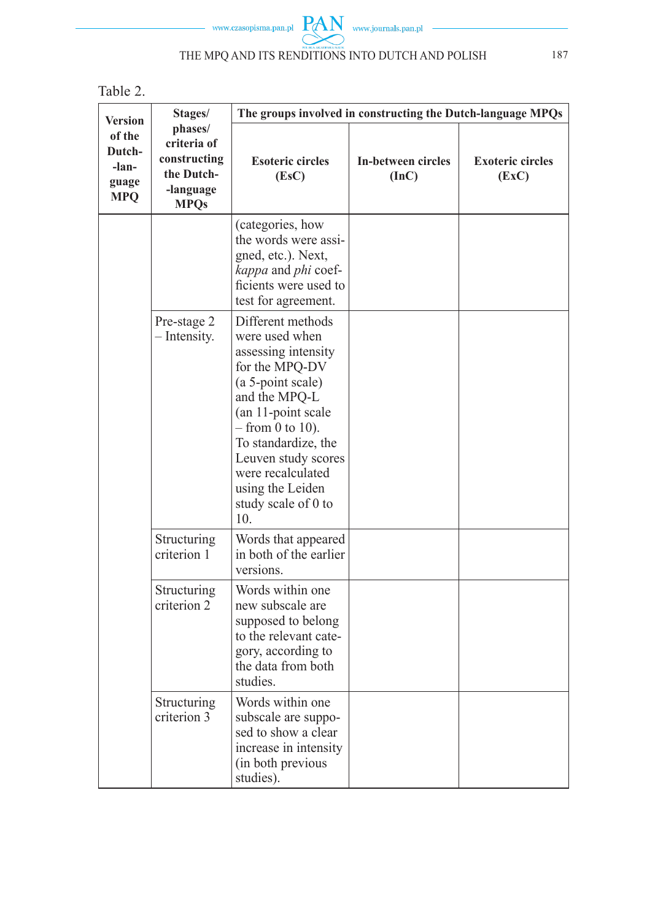

| .n<br>r s |  |
|-----------|--|
|-----------|--|

| <b>Version</b>                                   | Stages/                                                                                  | The groups involved in constructing the Dutch-language MPQs                                                                                                                                                                                                                                     |                             |                                  |  |  |
|--------------------------------------------------|------------------------------------------------------------------------------------------|-------------------------------------------------------------------------------------------------------------------------------------------------------------------------------------------------------------------------------------------------------------------------------------------------|-----------------------------|----------------------------------|--|--|
| of the<br>Dutch-<br>-lan-<br>guage<br><b>MPQ</b> | phases/<br>criteria of<br>constructing<br>the Dutch-<br>-language<br><b>MPQs</b>         | <b>Esoteric circles</b><br>(Esc)                                                                                                                                                                                                                                                                | In-between circles<br>(Inc) | <b>Exoteric circles</b><br>(EXC) |  |  |
|                                                  |                                                                                          | (categories, how<br>the words were assi-<br>gned, etc.). Next,<br>kappa and phi coef-<br>ficients were used to<br>test for agreement.                                                                                                                                                           |                             |                                  |  |  |
|                                                  | Pre-stage 2<br>- Intensity.                                                              | Different methods<br>were used when<br>assessing intensity<br>for the MPQ-DV<br>(a 5-point scale)<br>and the MPQ-L<br>(an 11-point scale<br>$-$ from 0 to 10).<br>To standardize, the<br>Leuven study scores<br>were recalculated<br>using the Leiden<br>study scale of 0 to<br>10 <sub>l</sub> |                             |                                  |  |  |
|                                                  | Structuring<br>Words that appeared<br>in both of the earlier<br>criterion 1<br>versions. |                                                                                                                                                                                                                                                                                                 |                             |                                  |  |  |
|                                                  | Structuring<br>criterion 2                                                               | Words within one<br>new subscale are<br>supposed to belong<br>to the relevant cate-<br>gory, according to<br>the data from both<br>studies.                                                                                                                                                     |                             |                                  |  |  |
|                                                  | Structuring<br>criterion 3                                                               | Words within one<br>subscale are suppo-<br>sed to show a clear<br>increase in intensity<br>(in both previous<br>studies).                                                                                                                                                                       |                             |                                  |  |  |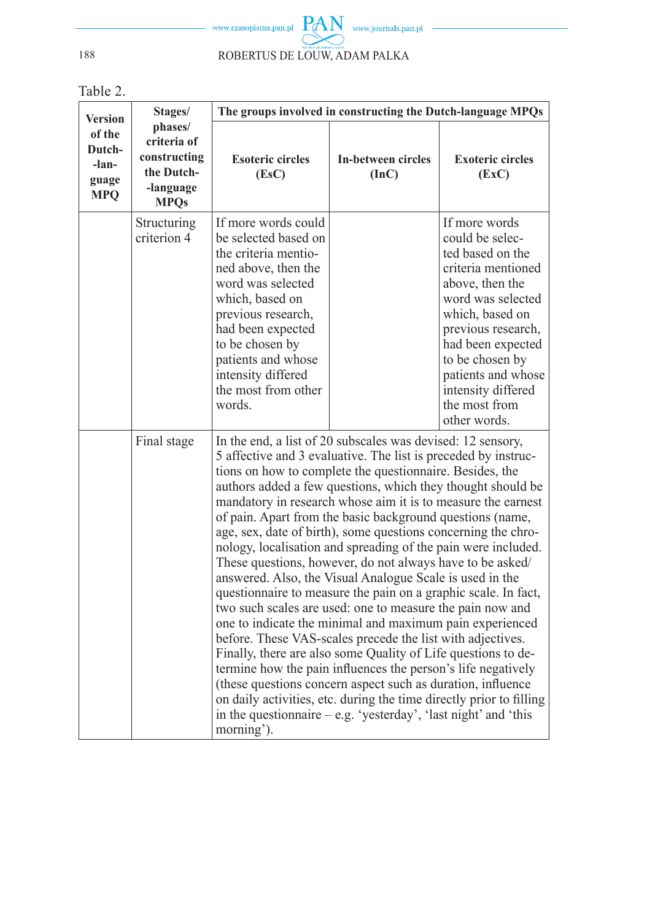

Table 2.

| <b>Version</b>                                   | Stages/                                                                          | The groups involved in constructing the Dutch-language MPQs                                                                                                                                                                                                                                                                                                                                                                                                                                                                                                                                                                                                                                                                                                                                                                                                                                                                                                                                                                                                                                                                                                                                                                                                        |                             |                                                                                                                                                                                                                                                                                  |  |
|--------------------------------------------------|----------------------------------------------------------------------------------|--------------------------------------------------------------------------------------------------------------------------------------------------------------------------------------------------------------------------------------------------------------------------------------------------------------------------------------------------------------------------------------------------------------------------------------------------------------------------------------------------------------------------------------------------------------------------------------------------------------------------------------------------------------------------------------------------------------------------------------------------------------------------------------------------------------------------------------------------------------------------------------------------------------------------------------------------------------------------------------------------------------------------------------------------------------------------------------------------------------------------------------------------------------------------------------------------------------------------------------------------------------------|-----------------------------|----------------------------------------------------------------------------------------------------------------------------------------------------------------------------------------------------------------------------------------------------------------------------------|--|
| of the<br>Dutch-<br>-lan-<br>guage<br><b>MPQ</b> | phases/<br>criteria of<br>constructing<br>the Dutch-<br>-language<br><b>MPQs</b> | <b>Esoteric circles</b><br>(EsC)                                                                                                                                                                                                                                                                                                                                                                                                                                                                                                                                                                                                                                                                                                                                                                                                                                                                                                                                                                                                                                                                                                                                                                                                                                   | In-between circles<br>(Inc) | <b>Exoteric circles</b><br>(EXC)                                                                                                                                                                                                                                                 |  |
|                                                  | Structuring<br>criterion 4                                                       | If more words could<br>be selected based on<br>the criteria mentio-<br>ned above, then the<br>word was selected<br>which, based on<br>previous research,<br>had been expected<br>to be chosen by<br>patients and whose<br>intensity differed<br>the most from other<br>words.                                                                                                                                                                                                                                                                                                                                                                                                                                                                                                                                                                                                                                                                                                                                                                                                                                                                                                                                                                                      |                             | If more words<br>could be selec-<br>ted based on the<br>criteria mentioned<br>above, then the<br>word was selected<br>which, based on<br>previous research,<br>had been expected<br>to be chosen by<br>patients and whose<br>intensity differed<br>the most from<br>other words. |  |
|                                                  | Final stage                                                                      | In the end, a list of 20 subscales was devised: 12 sensory,<br>5 affective and 3 evaluative. The list is preceded by instruc-<br>tions on how to complete the questionnaire. Besides, the<br>authors added a few questions, which they thought should be<br>mandatory in research whose aim it is to measure the earnest<br>of pain. Apart from the basic background questions (name,<br>age, sex, date of birth), some questions concerning the chro-<br>nology, localisation and spreading of the pain were included.<br>These questions, however, do not always have to be asked/<br>answered. Also, the Visual Analogue Scale is used in the<br>questionnaire to measure the pain on a graphic scale. In fact,<br>two such scales are used: one to measure the pain now and<br>one to indicate the minimal and maximum pain experienced<br>before. These VAS-scales precede the list with adjectives.<br>Finally, there are also some Quality of Life questions to de-<br>termine how the pain influences the person's life negatively<br>(these questions concern aspect such as duration, influence<br>on daily activities, etc. during the time directly prior to filling<br>in the questionnaire $-e.g.$ 'yesterday', 'last night' and 'this<br>morning'). |                             |                                                                                                                                                                                                                                                                                  |  |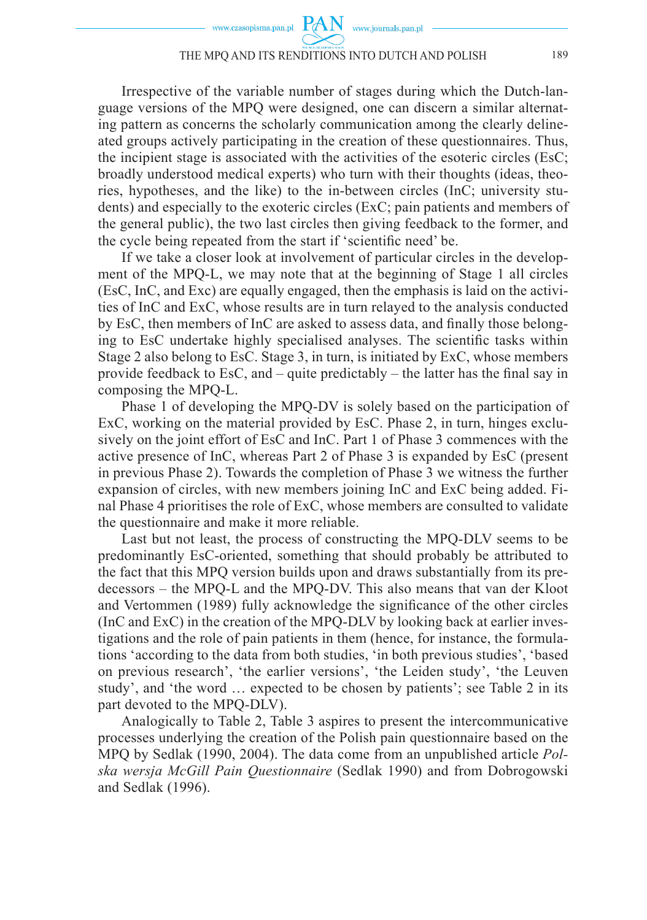Irrespective of the variable number of stages during which the Dutch-language versions of the MPQ were designed, one can discern a similar alternating pattern as concerns the scholarly communication among the clearly delineated groups actively participating in the creation of these questionnaires. Thus, the incipient stage is associated with the activities of the esoteric circles (EsC; broadly understood medical experts) who turn with their thoughts (ideas, theories, hypotheses, and the like) to the in-between circles (InC; university students) and especially to the exoteric circles (ExC; pain patients and members of the general public), the two last circles then giving feedback to the former, and the cycle being repeated from the start if 'scientific need' be.

If we take a closer look at involvement of particular circles in the development of the MPQ-L, we may note that at the beginning of Stage 1 all circles (EsC, InC, and Exc) are equally engaged, then the emphasis is laid on the activities of InC and ExC, whose results are in turn relayed to the analysis conducted by EsC, then members of InC are asked to assess data, and finally those belonging to EsC undertake highly specialised analyses. The scientific tasks within Stage 2 also belong to EsC. Stage 3, in turn, is initiated by ExC, whose members provide feedback to EsC, and – quite predictably – the latter has the final say in composing the MPQ-L.

Phase 1 of developing the MPQ-DV is solely based on the participation of ExC, working on the material provided by EsC. Phase 2, in turn, hinges exclusively on the joint effort of EsC and InC. Part 1 of Phase 3 commences with the active presence of InC, whereas Part 2 of Phase 3 is expanded by EsC (present in previous Phase 2). Towards the completion of Phase 3 we witness the further expansion of circles, with new members joining InC and ExC being added. Final Phase 4 prioritises the role of ExC, whose members are consulted to validate the questionnaire and make it more reliable.

Last but not least, the process of constructing the MPQ-DLV seems to be predominantly EsC-oriented, something that should probably be attributed to the fact that this MPQ version builds upon and draws substantially from its predecessors – the MPQ-L and the MPQ-DV. This also means that van der Kloot and Vertommen (1989) fully acknowledge the significance of the other circles (InC and ExC) in the creation of the MPQ-DLV by looking back at earlier investigations and the role of pain patients in them (hence, for instance, the formulations 'according to the data from both studies, 'in both previous studies', 'based on previous research', 'the earlier versions', 'the Leiden study', 'the Leuven study', and 'the word … expected to be chosen by patients'; see Table 2 in its part devoted to the MPQ-DLV).

Analogically to Table 2, Table 3 aspires to present the intercommunicative processes underlying the creation of the Polish pain questionnaire based on the MPQ by Sedlak (1990, 2004). The data come from an unpublished article *Polska wersja McGill Pain Questionnaire* (Sedlak 1990) and from Dobrogowski and Sedlak (1996).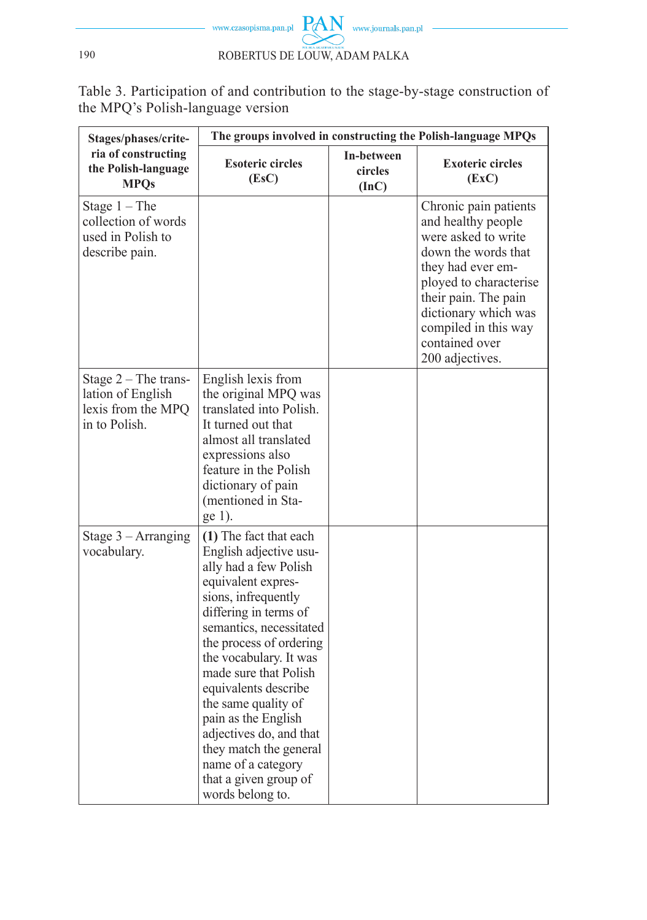

Table 3. Participation of and contribution to the stage-by-stage construction of the MPQ's Polish-language version

| Stages/phases/crite-                                                               | The groups involved in constructing the Polish-language MPQs                                                                                                                                                                                                                                                                                                                                                                                           |                                |                                                                                                                                                                                                                                                       |  |  |
|------------------------------------------------------------------------------------|--------------------------------------------------------------------------------------------------------------------------------------------------------------------------------------------------------------------------------------------------------------------------------------------------------------------------------------------------------------------------------------------------------------------------------------------------------|--------------------------------|-------------------------------------------------------------------------------------------------------------------------------------------------------------------------------------------------------------------------------------------------------|--|--|
| ria of constructing<br>the Polish-language<br><b>MPOs</b>                          | <b>Esoteric circles</b><br>(EsC)                                                                                                                                                                                                                                                                                                                                                                                                                       | In-between<br>circles<br>(Inc) | <b>Exoteric circles</b><br>(EXC)                                                                                                                                                                                                                      |  |  |
| Stage $1 - The$<br>collection of words<br>used in Polish to<br>describe pain.      |                                                                                                                                                                                                                                                                                                                                                                                                                                                        |                                | Chronic pain patients<br>and healthy people<br>were asked to write<br>down the words that<br>they had ever em-<br>ployed to characterise<br>their pain. The pain<br>dictionary which was<br>compiled in this way<br>contained over<br>200 adjectives. |  |  |
| Stage $2$ – The trans-<br>lation of English<br>lexis from the MPQ<br>in to Polish. | English lexis from<br>the original MPQ was<br>translated into Polish.<br>It turned out that<br>almost all translated<br>expressions also<br>feature in the Polish<br>dictionary of pain<br>(mentioned in Sta-<br>ge 1).                                                                                                                                                                                                                                |                                |                                                                                                                                                                                                                                                       |  |  |
| Stage $3 - Arranging$<br>vocabulary.                                               | (1) The fact that each<br>English adjective usu-<br>ally had a few Polish<br>equivalent expres-<br>sions, infrequently<br>differing in terms of<br>semantics, necessitated<br>the process of ordering<br>the vocabulary. It was<br>made sure that Polish<br>equivalents describe<br>the same quality of<br>pain as the English<br>adjectives do, and that<br>they match the general<br>name of a category<br>that a given group of<br>words belong to. |                                |                                                                                                                                                                                                                                                       |  |  |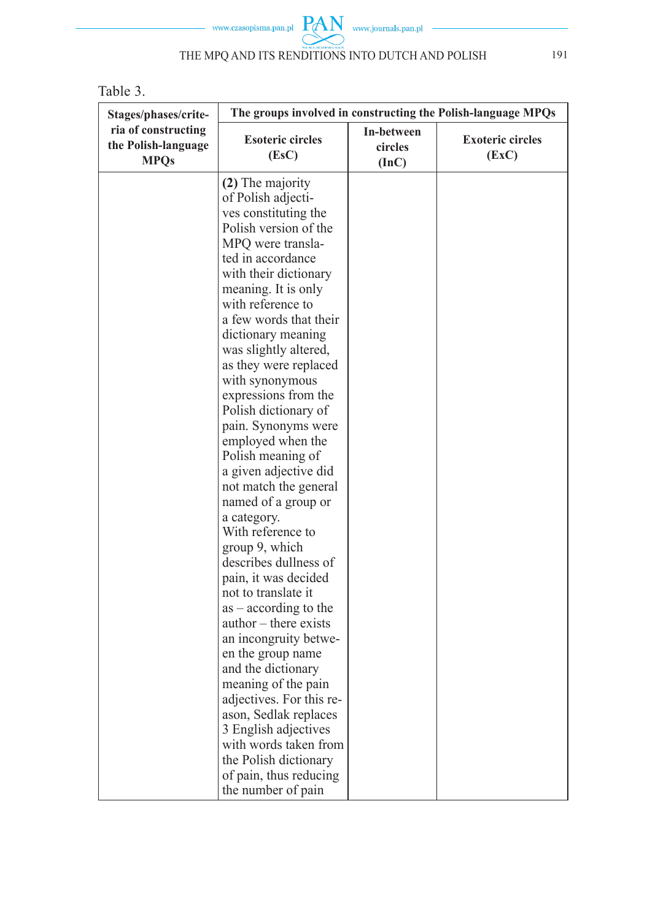

Table 3.

| Stages/phases/crite-                                      | The groups involved in constructing the Polish-language MPQs                                                                                                                                                                                                                                                                                                                                                                                                                                                                                                                                                                                                                                                                                                                                                                                                                                                                      |                                |                                  |  |
|-----------------------------------------------------------|-----------------------------------------------------------------------------------------------------------------------------------------------------------------------------------------------------------------------------------------------------------------------------------------------------------------------------------------------------------------------------------------------------------------------------------------------------------------------------------------------------------------------------------------------------------------------------------------------------------------------------------------------------------------------------------------------------------------------------------------------------------------------------------------------------------------------------------------------------------------------------------------------------------------------------------|--------------------------------|----------------------------------|--|
| ria of constructing<br>the Polish-language<br><b>MPQs</b> | <b>Esoteric circles</b><br>(EsC)                                                                                                                                                                                                                                                                                                                                                                                                                                                                                                                                                                                                                                                                                                                                                                                                                                                                                                  | In-between<br>circles<br>(Inc) | <b>Exoteric circles</b><br>(EXC) |  |
|                                                           | (2) The majority<br>of Polish adjecti-<br>ves constituting the<br>Polish version of the<br>MPQ were transla-<br>ted in accordance<br>with their dictionary<br>meaning. It is only<br>with reference to<br>a few words that their<br>dictionary meaning<br>was slightly altered,<br>as they were replaced<br>with synonymous<br>expressions from the<br>Polish dictionary of<br>pain. Synonyms were<br>employed when the<br>Polish meaning of<br>a given adjective did<br>not match the general<br>named of a group or<br>a category.<br>With reference to<br>group 9, which<br>describes dullness of<br>pain, it was decided<br>not to translate it<br>$as - according to the$<br>author – there exists<br>an incongruity betwe-<br>en the group name<br>and the dictionary<br>meaning of the pain<br>adjectives. For this re-<br>ason, Sedlak replaces<br>3 English adjectives<br>with words taken from<br>the Polish dictionary |                                |                                  |  |
|                                                           | of pain, thus reducing<br>the number of pain                                                                                                                                                                                                                                                                                                                                                                                                                                                                                                                                                                                                                                                                                                                                                                                                                                                                                      |                                |                                  |  |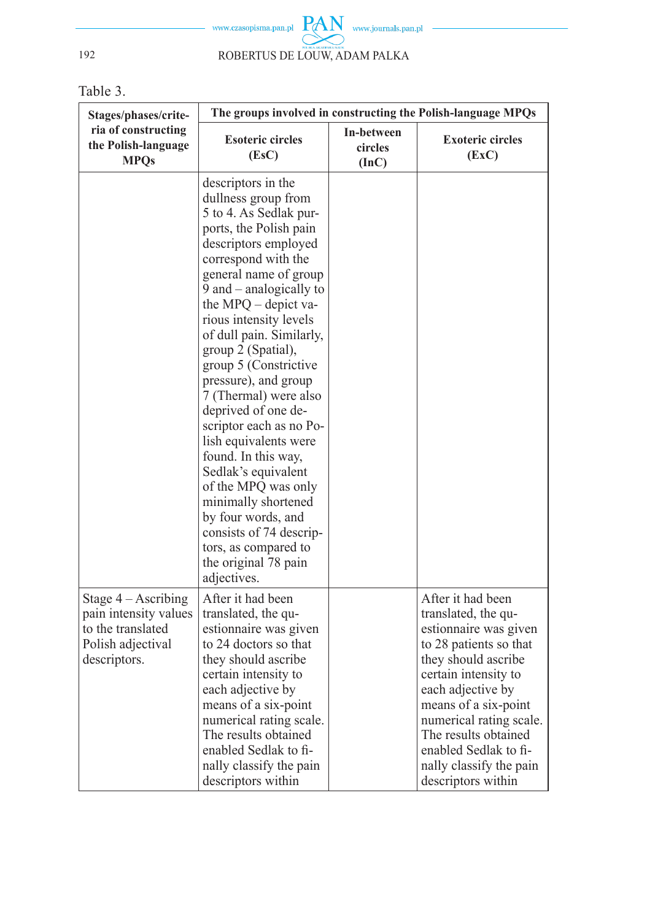$\begin{picture}(120,10) \put(0,0){\dashbox{0.5}(120,0){ }} \put(15,0){\circle{10}} \put(15,0){\circle{10}} \put(15,0){\circle{10}} \put(15,0){\circle{10}} \put(15,0){\circle{10}} \put(15,0){\circle{10}} \put(15,0){\circle{10}} \put(15,0){\circle{10}} \put(15,0){\circle{10}} \put(15,0){\circle{10}} \put(15,0){\circle{10}} \put(15,0){\circle{10}} \put(15,0){\circle{10}} \put(1$ www.czasopisma.pan.pl 192 ROBERTUS DE LOUW, ADAM PALKA

Table 3.

| Stages/phases/crite-                                                                                     | The groups involved in constructing the Polish-language MPQs                                                                                                                                                                                                                                                                                                                                                                                                                                                                                                                                                                                                          |                                |                                                                                                                                                                                                                                                                                                                      |  |  |
|----------------------------------------------------------------------------------------------------------|-----------------------------------------------------------------------------------------------------------------------------------------------------------------------------------------------------------------------------------------------------------------------------------------------------------------------------------------------------------------------------------------------------------------------------------------------------------------------------------------------------------------------------------------------------------------------------------------------------------------------------------------------------------------------|--------------------------------|----------------------------------------------------------------------------------------------------------------------------------------------------------------------------------------------------------------------------------------------------------------------------------------------------------------------|--|--|
| ria of constructing<br>the Polish-language<br><b>MPOs</b>                                                | <b>Esoteric circles</b><br>(Esc)                                                                                                                                                                                                                                                                                                                                                                                                                                                                                                                                                                                                                                      | In-between<br>circles<br>(Inc) | <b>Exoteric circles</b><br>(EXC)                                                                                                                                                                                                                                                                                     |  |  |
|                                                                                                          | descriptors in the<br>dullness group from<br>5 to 4. As Sedlak pur-<br>ports, the Polish pain<br>descriptors employed<br>correspond with the<br>general name of group<br>9 and – analogically to<br>the MPQ – depict va-<br>rious intensity levels<br>of dull pain. Similarly,<br>group 2 (Spatial),<br>group 5 (Constrictive<br>pressure), and group<br>7 (Thermal) were also<br>deprived of one de-<br>scriptor each as no Po-<br>lish equivalents were<br>found. In this way,<br>Sedlak's equivalent<br>of the MPQ was only<br>minimally shortened<br>by four words, and<br>consists of 74 descrip-<br>tors, as compared to<br>the original 78 pain<br>adjectives. |                                |                                                                                                                                                                                                                                                                                                                      |  |  |
| Stage $4 -$ Ascribing<br>pain intensity values<br>to the translated<br>Polish adjectival<br>descriptors. | After it had been<br>translated, the qu-<br>estionnaire was given<br>to 24 doctors so that<br>they should ascribe<br>certain intensity to<br>each adjective by<br>means of a six-point<br>numerical rating scale.<br>The results obtained<br>enabled Sedlak to fi-<br>nally classify the pain<br>descriptors within                                                                                                                                                                                                                                                                                                                                                   |                                | After it had been<br>translated, the qu-<br>estionnaire was given<br>to 28 patients so that<br>they should ascribe<br>certain intensity to<br>each adjective by<br>means of a six-point<br>numerical rating scale.<br>The results obtained<br>enabled Sedlak to fi-<br>nally classify the pain<br>descriptors within |  |  |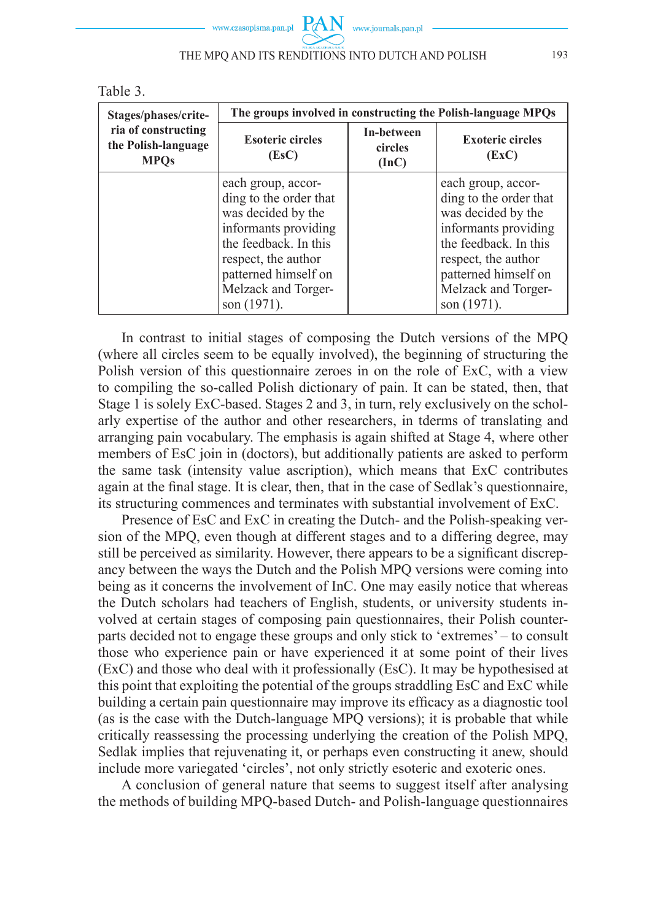

|  | ., | ،r |  |
|--|----|----|--|
|--|----|----|--|

| Stages/phases/crite-                                      | The groups involved in constructing the Polish-language MPQs                                                                                                                                             |                                |                                                                                                                                                                                                          |  |
|-----------------------------------------------------------|----------------------------------------------------------------------------------------------------------------------------------------------------------------------------------------------------------|--------------------------------|----------------------------------------------------------------------------------------------------------------------------------------------------------------------------------------------------------|--|
| ria of constructing<br>the Polish-language<br><b>MPOs</b> | <b>Esoteric circles</b><br>(Esc)                                                                                                                                                                         | In-between<br>circles<br>(InC) | <b>Exoteric circles</b><br>(EXC)                                                                                                                                                                         |  |
|                                                           | each group, accor-<br>ding to the order that<br>was decided by the<br>informants providing<br>the feedback. In this<br>respect, the author<br>patterned himself on<br>Melzack and Torger-<br>son (1971). |                                | each group, accor-<br>ding to the order that<br>was decided by the<br>informants providing<br>the feedback. In this<br>respect, the author<br>patterned himself on<br>Melzack and Torger-<br>son (1971). |  |

In contrast to initial stages of composing the Dutch versions of the MPQ (where all circles seem to be equally involved), the beginning of structuring the Polish version of this questionnaire zeroes in on the role of ExC, with a view to compiling the so-called Polish dictionary of pain. It can be stated, then, that Stage 1 is solely ExC-based. Stages 2 and 3, in turn, rely exclusively on the scholarly expertise of the author and other researchers, in tderms of translating and arranging pain vocabulary. The emphasis is again shifted at Stage 4, where other members of EsC join in (doctors), but additionally patients are asked to perform the same task (intensity value ascription), which means that ExC contributes again at the final stage. It is clear, then, that in the case of Sedlak's questionnaire, its structuring commences and terminates with substantial involvement of ExC.

Presence of EsC and ExC in creating the Dutch- and the Polish-speaking version of the MPQ, even though at different stages and to a differing degree, may still be perceived as similarity. However, there appears to be a significant discrepancy between the ways the Dutch and the Polish MPQ versions were coming into being as it concerns the involvement of InC. One may easily notice that whereas the Dutch scholars had teachers of English, students, or university students involved at certain stages of composing pain questionnaires, their Polish counterparts decided not to engage these groups and only stick to 'extremes' – to consult those who experience pain or have experienced it at some point of their lives (ExC) and those who deal with it professionally (EsC). It may be hypothesised at this point that exploiting the potential of the groups straddling EsC and ExC while building a certain pain questionnaire may improve its efficacy as a diagnostic tool (as is the case with the Dutch-language MPQ versions); it is probable that while critically reassessing the processing underlying the creation of the Polish MPQ, Sedlak implies that rejuvenating it, or perhaps even constructing it anew, should include more variegated 'circles', not only strictly esoteric and exoteric ones.

A conclusion of general nature that seems to suggest itself after analysing the methods of building MPQ-based Dutch- and Polish-language questionnaires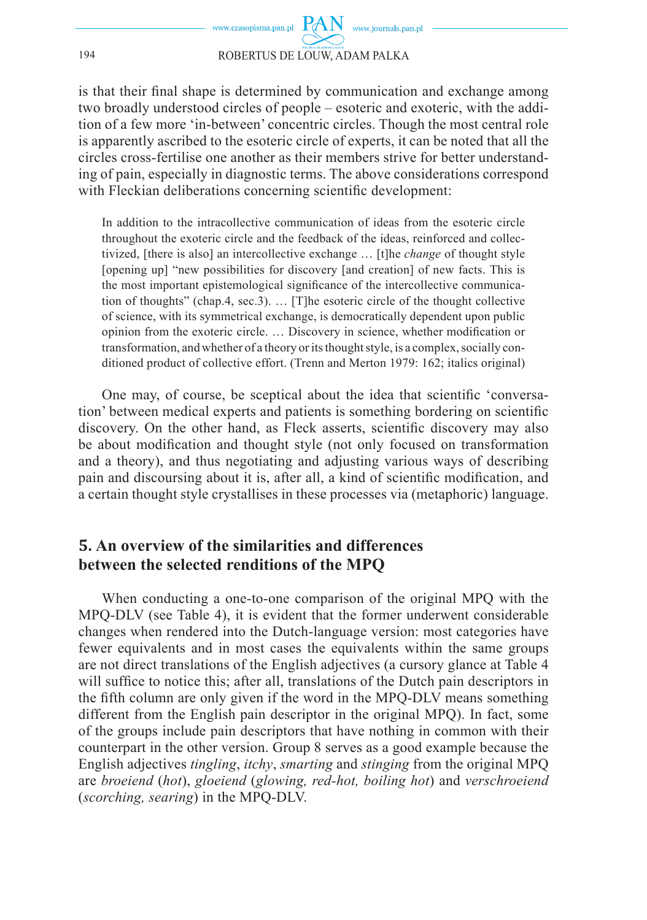is that their final shape is determined by communication and exchange among two broadly understood circles of people – esoteric and exoteric, with the addition of a few more 'in-between' concentric circles. Though the most central role is apparently ascribed to the esoteric circle of experts, it can be noted that all the circles cross-fertilise one another as their members strive for better understanding of pain, especially in diagnostic terms. The above considerations correspond with Fleckian deliberations concerning scientific development:

In addition to the intracollective communication of ideas from the esoteric circle throughout the exoteric circle and the feedback of the ideas, reinforced and collectivized, [there is also] an intercollective exchange … [t]he *change* of thought style [opening up] "new possibilities for discovery [and creation] of new facts. This is the most important epistemological significance of the intercollective communication of thoughts" (chap.4, sec.3). … [T]he esoteric circle of the thought collective of science, with its symmetrical exchange, is democratically dependent upon public opinion from the exoteric circle. ... Discovery in science, whether modification or transformation, and whether of a theory or its thought style, is a complex, socially conditioned product of collective effort. (Trenn and Merton 1979: 162; italics original)

One may, of course, be sceptical about the idea that scientific 'conversation' between medical experts and patients is something bordering on scientific discovery. On the other hand, as Fleck asserts, scientific discovery may also be about modification and thought style (not only focused on transformation and a theory), and thus negotiating and adjusting various ways of describing pain and discoursing about it is, after all, a kind of scientific modification, and a certain thought style crystallises in these processes via (metaphoric) language.

# **5. An overview of the similarities and differences between the selected renditions of the MPQ**

When conducting a one-to-one comparison of the original MPQ with the MPQ-DLV (see Table 4), it is evident that the former underwent considerable changes when rendered into the Dutch-language version: most categories have fewer equivalents and in most cases the equivalents within the same groups are not direct translations of the English adjectives (a cursory glance at Table 4 will suffice to notice this; after all, translations of the Dutch pain descriptors in the fifth column are only given if the word in the MPQ-DLV means something different from the English pain descriptor in the original MPQ). In fact, some of the groups include pain descriptors that have nothing in common with their counterpart in the other version. Group 8 serves as a good example because the English adjectives *tingling*, *itchy*, *smarting* and *stinging* from the original MPQ are *broeiend* (*hot*), *gloeiend* (*glowing, red-hot, boiling hot*) and *verschroeiend* (*scorching, searing*) in the MPQ-DLV.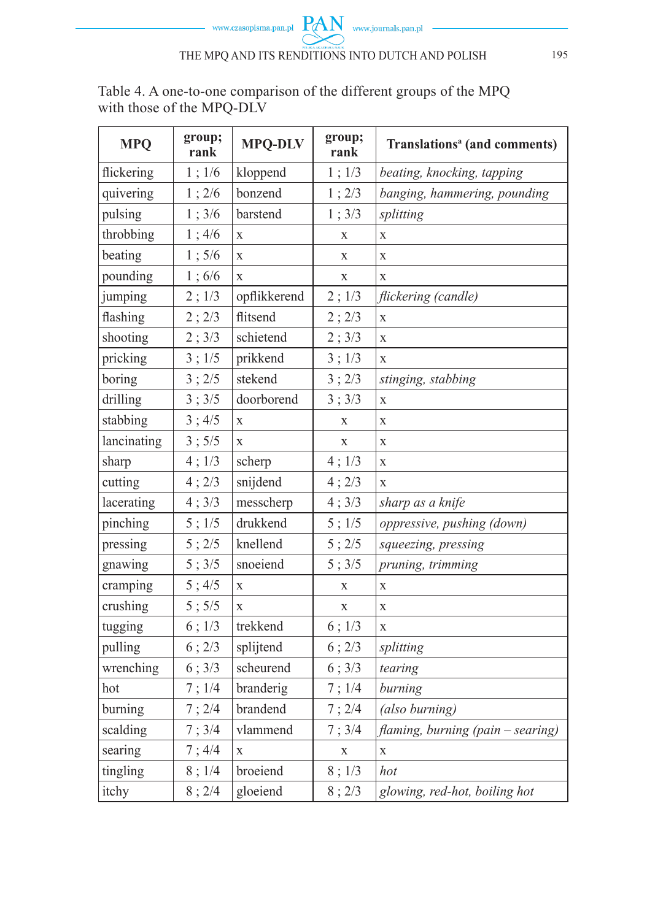Table 4. A one-to-one comparison of the different groups of the MPQ with those of the MPQ-DLV

| <b>MPQ</b>  | group;<br>rank | <b>MPQ-DLV</b> | group;<br>rank | Translations <sup>a</sup> (and comments) |  |
|-------------|----------------|----------------|----------------|------------------------------------------|--|
| flickering  | 1; 1/6         | kloppend       | $1$ ; $1/3$    | beating, knocking, tapping               |  |
| quivering   | 1; 2/6         | bonzend        | 1:2/3          | banging, hammering, pounding             |  |
| pulsing     | 1; 3/6         | barstend       | 1; 3/3         | splitting                                |  |
| throbbing   | 1;4/6          | X              | X              | $\mathbf X$                              |  |
| beating     | 1;5/6          | X              | X              | X                                        |  |
| pounding    | 1;6/6          | $\bar{X}$      | X              | $\mathbf{x}$                             |  |
| jumping     | 2; 1/3         | opflikkerend   | 2; 1/3         | flickering (candle)                      |  |
| flashing    | 2; 2/3         | flitsend       | 2; 2/3         | $\mathbf X$                              |  |
| shooting    | 2; 3/3         | schietend      | 2; 3/3         | $\mathbf X$                              |  |
| pricking    | 3:1/5          | prikkend       | 3; 1/3         | X                                        |  |
| boring      | 3; 2/5         | stekend        | 3; 2/3         | stinging, stabbing                       |  |
| drilling    | 3:3/5          | doorborend     | 3; 3/3         | X                                        |  |
| stabbing    | 3; 4/5         | X              | X              | X                                        |  |
| lancinating | 3; 5/5         | X              | X              | X                                        |  |
| sharp       | $4$ ; $1/3$    | scherp         | 4; 1/3         | X                                        |  |
| cutting     | 4; 2/3         | snijdend       | 4; 2/3         | $\mathbf{x}$                             |  |
| lacerating  | 4; 3/3         | messcherp      | 4; 3/3         | sharp as a knife                         |  |
| pinching    | 5; 1/5         | drukkend       | $5$ ; $1/5$    | oppressive, pushing (down)               |  |
| pressing    | 5:2/5          | knellend       | 5; 2/5         | squeezing, pressing                      |  |
| gnawing     | 5; 3/5         | snoeiend       | 5; 3/5         | pruning, trimming                        |  |
| cramping    | 5; 4/5         | X              | $\mathbf X$    | X                                        |  |
| crushing    | 5; 5/5         | X              | X              | $\mathbf X$                              |  |
| tugging     | $6$ ; $1/3$    | trekkend       | 6; 1/3         | $\mathbf X$                              |  |
| pulling     | 6:2/3          | splijtend      | 6; 2/3         | splitting                                |  |
| wrenching   | 6:3/3          | scheurend      | 6; 3/3         | tearing                                  |  |
| hot         | 7;1/4          | branderig      | 7; 1/4         | burning                                  |  |
| burning     | 7; 2/4         | brandend       | 7:2/4          | (also burning)                           |  |
| scalding    | 7; 3/4         | vlammend       | 7; 3/4         | flaming, burning (pain - searing)        |  |
| searing     | 7;4/4          | X              | X              | $\mathbf X$                              |  |
| tingling    | 8;1/4          | broeiend       | 8; 1/3         | hot                                      |  |
| itchy       | 8; 2/4         | gloeiend       | 8; 2/3         | glowing, red-hot, boiling hot            |  |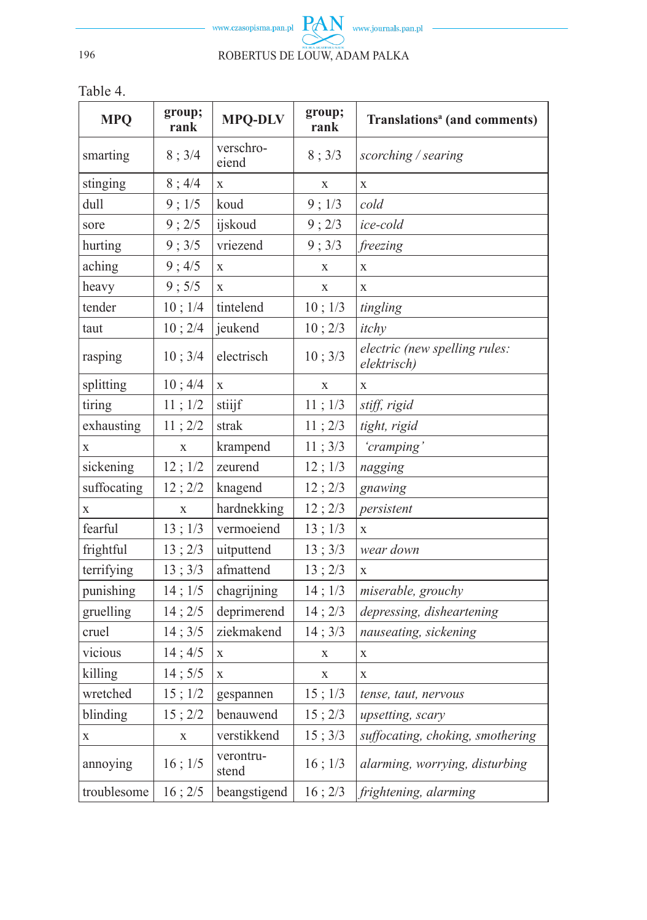

Table 4.

| <b>MPQ</b>  | group;<br>rank | <b>MPQ-DLV</b>     | group;<br>rank | Translations <sup>a</sup> (and comments)     |
|-------------|----------------|--------------------|----------------|----------------------------------------------|
| smarting    | 8; 3/4         | verschro-<br>eiend | 8; 3/3         | scorching / searing                          |
| stinging    | 8; 4/4         | X                  | X              | X                                            |
| dull        | 9; 1/5         | koud               | 9; 1/3         | cold                                         |
| sore        | 9:2/5          | ijskoud            | 9; 2/3         | ice-cold                                     |
| hurting     | 9; 3/5         | vriezend           | 9; 3/3         | freezing                                     |
| aching      | 9; 4/5         | X                  | X              | $\mathbf{X}$                                 |
| heavy       | 9; 5/5         | $\bar{x}$          | X              | $\mathbf{x}$                                 |
| tender      | 10; 1/4        | tintelend          | 10; 1/3        | tingling                                     |
| taut        | 10; 2/4        | jeukend            | 10; 2/3        | itchy                                        |
| rasping     | 10; 3/4        | electrisch         | 10; 3/3        | electric (new spelling rules:<br>elektrisch) |
| splitting   | 10; 4/4        | $\mathbf X$        | X              | X                                            |
| tiring      | 11; 1/2        | stiijf             | 11; 1/3        | stiff, rigid                                 |
| exhausting  | 11; 2/2        | strak              | 11; 2/3        | tight, rigid                                 |
| X           | $\mathbf X$    | krampend           | 11; 3/3        | 'cramping'                                   |
| sickening   | 12; 1/2        | zeurend            | 12; 1/3        | nagging                                      |
| suffocating | 12; 2/2        | knagend            | 12; 2/3        | gnawing                                      |
| X           | X              | hardnekking        | 12; 2/3        | persistent                                   |
| fearful     | 13; 1/3        | vermoeiend         | 13; 1/3        | $\mathbf X$                                  |
| frightful   | 13; 2/3        | uitputtend         | 13; 3/3        | wear down                                    |
| terrifying  | 13; 3/3        | afmattend          | 13; 2/3        | X                                            |
| punishing   | 14; 1/5        | chagrijning        | 14; 1/3        | miserable, grouchy                           |
| gruelling   | 14; 2/5        | deprimerend        | 14:2/3         | depressing, disheartening                    |
| cruel       | 14; 3/5        | ziekmakend         | 14; 3/3        | nauseating, sickening                        |
| vicious     | 14; 4/5        | X                  | $\mathbf X$    | X                                            |
| killing     | 14; 5/5        | X                  | X              | X                                            |
| wretched    | 15; 1/2        | gespannen          | 15; 1/3        | tense, taut, nervous                         |
| blinding    | 15; 2/2        | benauwend          | 15; 2/3        | upsetting, scary                             |
| X           | $\mathbf X$    | verstikkend        | 15; 3/3        | suffocating, choking, smothering             |
| annoying    | $16$ ; $1/5$   | verontru-<br>stend | $16$ ; $1/3$   | alarming, worrying, disturbing               |
| troublesome | 16; 2/5        | beangstigend       | 16; 2/3        | frightening, alarming                        |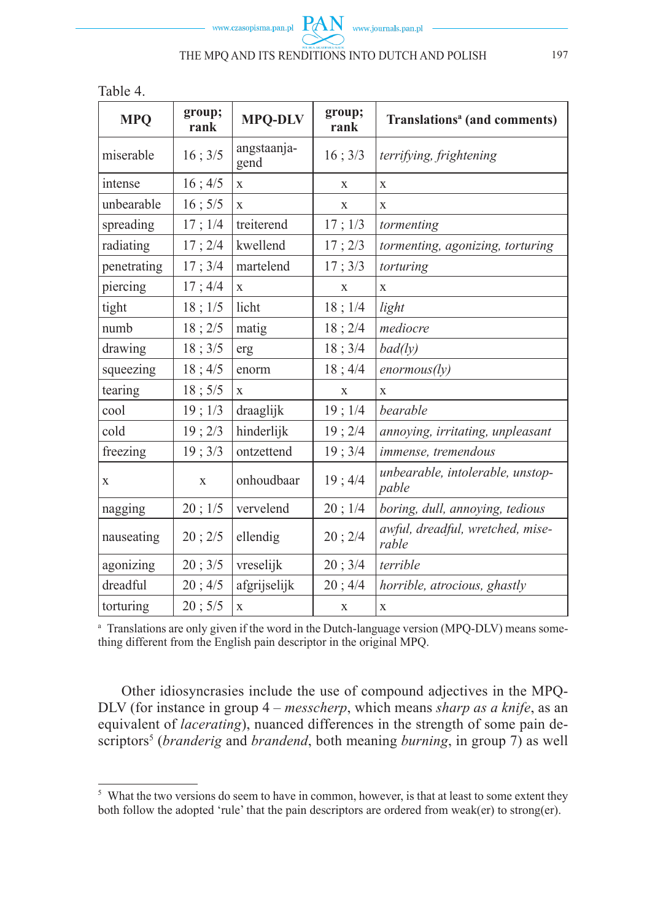Table 4.

| <b>MPQ</b>  | group;<br>rank | <b>MPQ-DLV</b>      | group;<br>rank | Translations <sup>a</sup> (and comments)  |
|-------------|----------------|---------------------|----------------|-------------------------------------------|
| miserable   | 16; 3/5        | angstaanja-<br>gend | 16; 3/3        | terrifying, frightening                   |
| intense     | 16; 4/5        | X                   | X              | X                                         |
| unbearable  | $16$ ; $5/5$   | $\mathbf{X}$        | X              | X                                         |
| spreading   | 17; 1/4        | treiterend          | 17; 1/3        | tormenting                                |
| radiating   | 17:2/4         | kwellend            | 17; 2/3        | tormenting, agonizing, torturing          |
| penetrating | 17:3/4         | martelend           | 17; 3/3        | torturing                                 |
| piercing    | 17; 4/4        | $\mathbf x$         | X              | X                                         |
| tight       | 18; 1/5        | licht               | 18; 1/4        | light                                     |
| numb        | 18; 2/5        | matig               | 18; 2/4        | mediocre                                  |
| drawing     | 18; 3/5        | erg                 | 18; 3/4        | bad(ly)                                   |
| squeezing   | 18; 4/5        | enorm               | 18; 4/4        | enormous(ly)                              |
| tearing     | 18; 5/5        | X                   | X              | X                                         |
| cool        | 19; 1/3        | draaglijk           | 19;1/4         | bearable                                  |
| cold        | 19; 2/3        | hinderlijk          | 19; 2/4        | annoying, irritating, unpleasant          |
| freezing    | 19; 3/3        | ontzettend          | 19; 3/4        | immense, tremendous                       |
| X           | X              | onhoudbaar          | 19; 4/4        | unbearable, intolerable, unstop-<br>pable |
| nagging     | 20; 1/5        | vervelend           | 20; 1/4        | boring, dull, annoying, tedious           |
| nauseating  | 20; 2/5        | ellendig            | 20; 2/4        | awful, dreadful, wretched, mise-<br>rable |
| agonizing   | 20; 3/5        | vreselijk           | 20; 3/4        | terrible                                  |
| dreadful    | 20; 4/5        | afgrijselijk        | 20; 4/4        | horrible, atrocious, ghastly              |
| torturing   | 20; 5/5        | X                   | X              | X                                         |

<sup>a</sup> Translations are only given if the word in the Dutch-language version (MPQ-DLV) means something different from the English pain descriptor in the original MPQ.

Other idiosyncrasies include the use of compound adjectives in the MPQ-DLV (for instance in group 4 – *messcherp*, which means *sharp as a knife*, as an equivalent of *lacerating*), nuanced differences in the strength of some pain descriptors<sup>5</sup> (*branderig* and *brandend*, both meaning *burning*, in group 7) as well

<sup>&</sup>lt;sup>5</sup> What the two versions do seem to have in common, however, is that at least to some extent they both follow the adopted 'rule' that the pain descriptors are ordered from weak(er) to strong(er).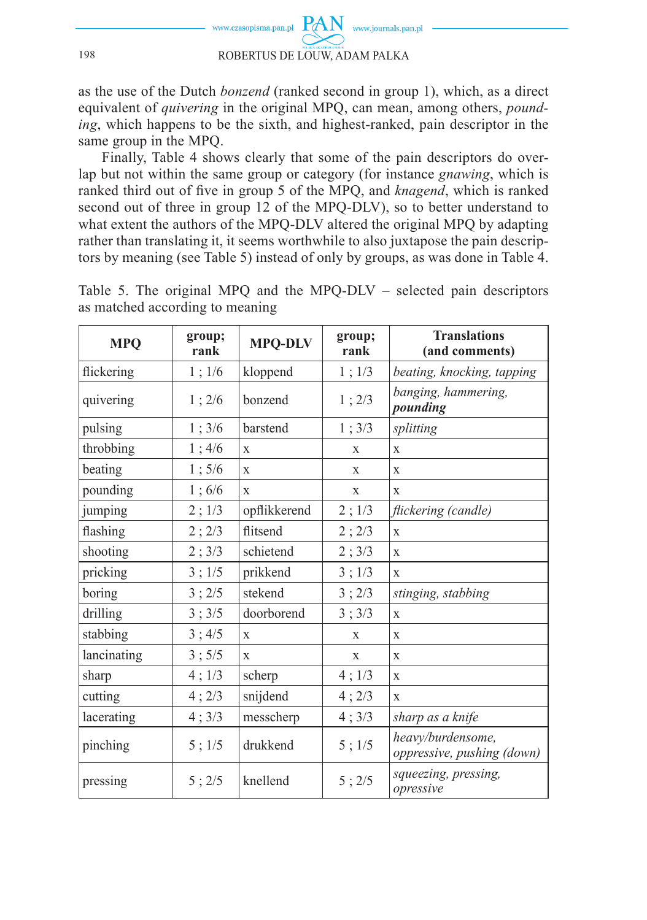

as the use of the Dutch *bonzend* (ranked second in group 1), which, as a direct equivalent of *quivering* in the original MPQ, can mean, among others, *pounding*, which happens to be the sixth, and highest-ranked, pain descriptor in the same group in the MPQ.

Finally, Table 4 shows clearly that some of the pain descriptors do overlap but not within the same group or category (for instance *gnawing*, which is ranked third out of five in group 5 of the MPO, and *knagend*, which is ranked second out of three in group 12 of the MPQ-DLV), so to better understand to what extent the authors of the MPO-DLV altered the original MPO by adapting rather than translating it, it seems worthwhile to also juxtapose the pain descriptors by meaning (see Table 5) instead of only by groups, as was done in Table 4.

| <b>MPQ</b>  | group;<br>rank | <b>MPQ-DLV</b> | group;<br>rank | <b>Translations</b><br>(and comments)           |
|-------------|----------------|----------------|----------------|-------------------------------------------------|
| flickering  | 1; 1/6         | kloppend       | 1; 1/3         | beating, knocking, tapping                      |
| quivering   | 1; 2/6         | bonzend        | 1; 2/3         | banging, hammering,<br>pounding                 |
| pulsing     | 1; 3/6         | barstend       | 1; 3/3         | splitting                                       |
| throbbing   | 1; 4/6         | X              | X              | $\mathbf X$                                     |
| beating     | 1;5/6          | X              | X              | X                                               |
| pounding    | 1;6/6          | X              | X              | X                                               |
| jumping     | 2; 1/3         | opflikkerend   | 2; 1/3         | flickering (candle)                             |
| flashing    | 2; 2/3         | flitsend       | 2; 2/3         | $\mathbf x$                                     |
| shooting    | 2; 3/3         | schietend      | 2; 3/3         | X                                               |
| pricking    | 3; 1/5         | prikkend       | 3; 1/3         | X                                               |
| boring      | 3; 2/5         | stekend        | 3; 2/3         | stinging, stabbing                              |
| drilling    | 3; 3/5         | doorborend     | 3; 3/3         | $\mathbf x$                                     |
| stabbing    | 3; 4/5         | $\mathbf x$    | X              | X                                               |
| lancinating | 3; 5/5         | X              | X              | X                                               |
| sharp       | 4; 1/3         | scherp         | 4; 1/3         | X                                               |
| cutting     | 4;2/3          | snijdend       | 4;2/3          | X                                               |
| lacerating  | 4; 3/3         | messcherp      | 4; 3/3         | sharp as a knife                                |
| pinching    | 5; 1/5         | drukkend       | 5; 1/5         | heavy/burdensome,<br>oppressive, pushing (down) |
| pressing    | 5; 2/5         | knellend       | 5; 2/5         | squeezing, pressing,<br>opressive               |

Table 5. The original MPQ and the MPQ-DLV – selected pain descriptors as matched according to meaning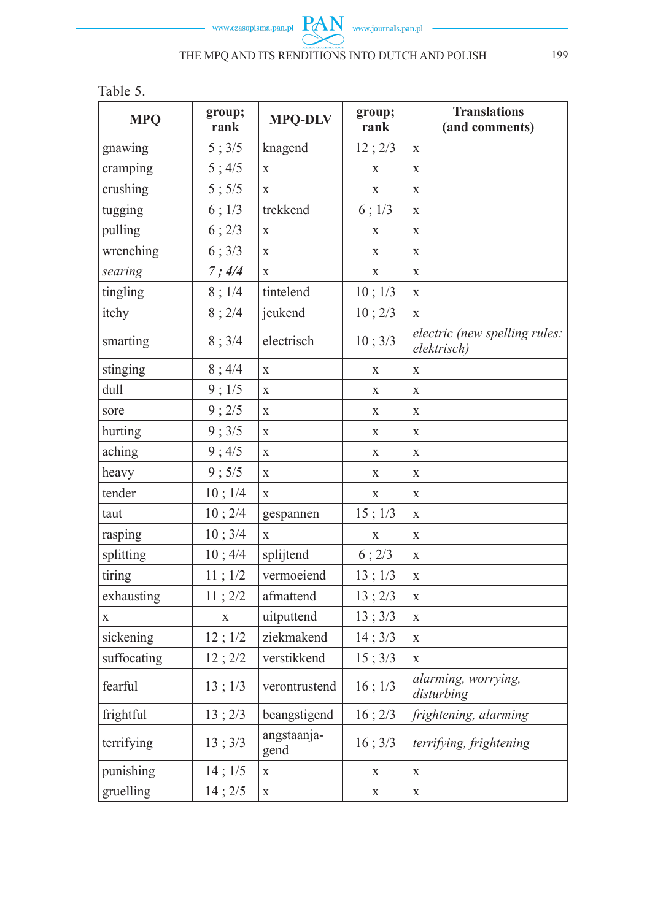

Table 5.

| <b>MPQ</b>  | group;<br>rank | <b>MPQ-DLV</b>      | group;<br>rank | <b>Translations</b><br>(and comments)        |
|-------------|----------------|---------------------|----------------|----------------------------------------------|
| gnawing     | 5; 3/5         | knagend             | 12; 2/3        | $\mathbf X$                                  |
| cramping    | 5; 4/5         | X                   | $\mathbf X$    | $\mathbf x$                                  |
| crushing    | 5; 5/5         | $\bar{X}$           | $\mathbf{x}$   | $\mathbf X$                                  |
| tugging     | 6; 1/3         | trekkend            | $6$ ; $1/3$    | $\mathbf X$                                  |
| pulling     | 6; 2/3         | $\bar{X}$           | $\mathbf X$    | $\mathbf X$                                  |
| wrenching   | 6; 3/3         | X                   | $\mathbf X$    | $\mathbf X$                                  |
| searing     | 7;4/4          | X                   | $\mathbf x$    | $\mathbf X$                                  |
| tingling    | 8;1/4          | tintelend           | 10; 1/3        | $\mathbf X$                                  |
| itchy       | 8; 2/4         | jeukend             | 10; 2/3        | $\mathbf X$                                  |
| smarting    | 8; 3/4         | electrisch          | 10; 3/3        | electric (new spelling rules:<br>elektrisch) |
| stinging    | 8; 4/4         | $\mathbf X$         | X              | $\mathbf X$                                  |
| dull        | 9:1/5          | X                   | X              | $\mathbf X$                                  |
| sore        | 9:2/5          | X                   | X              | $\mathbf X$                                  |
| hurting     | 9; 3/5         | X                   | $\mathbf X$    | $\mathbf X$                                  |
| aching      | 9; 4/5         | X                   | $\mathbf X$    | $\mathbf X$                                  |
| heavy       | 9; 5/5         | $\mathbf X$         | X              | $\mathbf X$                                  |
| tender      | 10; 1/4        | X                   | X              | $\mathbf X$                                  |
| taut        | 10; 2/4        | gespannen           | 15; 1/3        | $\mathbf X$                                  |
| rasping     | 10; 3/4        | $\mathbf X$         | $\mathbf X$    | $\mathbf X$                                  |
| splitting   | 10; 4/4        | splijtend           | 6:2/3          | $\mathbf X$                                  |
| tiring      | 11; 1/2        | vermoeiend          | 13; 1/3        | $\mathbf X$                                  |
| exhausting  | 11; 2/2        | afmattend           | 13; 2/3        | $\mathbf X$                                  |
| X           | X              | uitputtend          | 13; 3/3        | $\mathbf X$                                  |
| sickening   | 12; 1/2        | ziekmakend          | 14; 3/3        | $\mathbf X$                                  |
| suffocating | 12; 2/2        | verstikkend         | 15 ; 3/3       | X                                            |
| fearful     | 13; 1/3        | verontrustend       | 16; 1/3        | alarming, worrying,<br>disturbing            |
| frightful   | 13; 2/3        | beangstigend        | 16; 2/3        | frightening, alarming                        |
| terrifying  | 13; 3/3        | angstaanja-<br>gend | 16; 3/3        | terrifying, frightening                      |
| punishing   | 14; 1/5        | $\mathbf X$         | X              | X                                            |
| gruelling   | 14; 2/5        | $\mathbf X$         | $\mathbf X$    | $\mathbf X$                                  |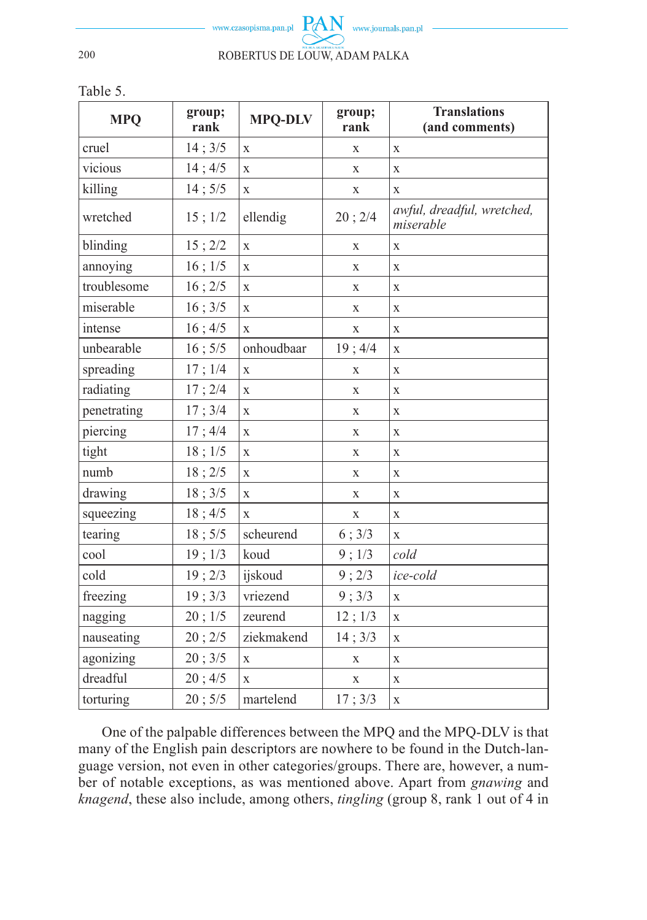

Table 5.

| <b>MPQ</b>  | group;<br>rank | group;<br><b>MPQ-DLV</b><br>rank |             | <b>Translations</b><br>(and comments)   |
|-------------|----------------|----------------------------------|-------------|-----------------------------------------|
| cruel       | 14; 3/5        | X<br>X                           |             | X                                       |
| vicious     | 14; 4/5        | $\mathbf X$                      | $\mathbf X$ | X                                       |
| killing     | 14; 5/5        | X                                | X           | X                                       |
| wretched    | $15$ ; $1/2$   | ellendig                         | 20; 2/4     | awful, dreadful, wretched,<br>miserable |
| blinding    | 15; 2/2        | X                                | X           | X                                       |
| annoying    | 16; 1/5        | $\mathbf X$                      | X           | X                                       |
| troublesome | 16; 2/5        | $\mathbf X$                      | $\mathbf X$ | X                                       |
| miserable   | 16; 3/5        | X                                | X           | X                                       |
| intense     | 16; 4/5        | $\mathbf X$                      | $\mathbf X$ | X                                       |
| unbearable  | 16; 5/5        | onhoudbaar                       | 19; 4/4     | X                                       |
| spreading   | 17; 1/4        | $\mathbf X$                      | X           | X                                       |
| radiating   | 17; 2/4        | $\mathbf X$                      | X           | X                                       |
| penetrating | 17; 3/4        | $\bar{X}$                        | X           | X                                       |
| piercing    | 17; 4/4        | X                                | $\mathbf X$ | X                                       |
| tight       | 18; 1/5        | X                                | X           | X                                       |
| numb        | 18; 2/5        | $\mathbf X$                      | X           | X                                       |
| drawing     | 18; 3/5        | $\mathbf X$                      | X           | X                                       |
| squeezing   | 18; 4/5        | $\mathbf{x}$                     | $\mathbf X$ | X                                       |
| tearing     | 18; 5/5        | scheurend                        | 6; 3/3      | $\mathbf{x}$                            |
| cool        | 19; 1/3        | koud                             | 9; 1/3      | cold                                    |
| cold        | 19:2/3         | ijskoud                          | 9:2/3       | ice-cold                                |
| freezing    | 19:3/3         | vriezend                         | 9:3/3       | X                                       |
| nagging     | 20; 1/5        | zeurend                          | 12; 1/3     | X                                       |
| nauseating  | 20; 2/5        | ziekmakend                       | 14; 3/3     | X                                       |
| agonizing   | 20; 3/5        | $\mathbf{X}$                     | $\mathbf X$ | X                                       |
| dreadful    | 20; 4/5        | $\mathbf{x}$                     | X           | $\mathbf x$                             |
| torturing   | 20; 5/5        | martelend                        | 17; 3/3     | $\mathbf X$                             |

One of the palpable differences between the MPQ and the MPQ-DLV is that many of the English pain descriptors are nowhere to be found in the Dutch-language version, not even in other categories/groups. There are, however, a number of notable exceptions, as was mentioned above. Apart from *gnawing* and *knagend*, these also include, among others, *tingling* (group 8, rank 1 out of 4 in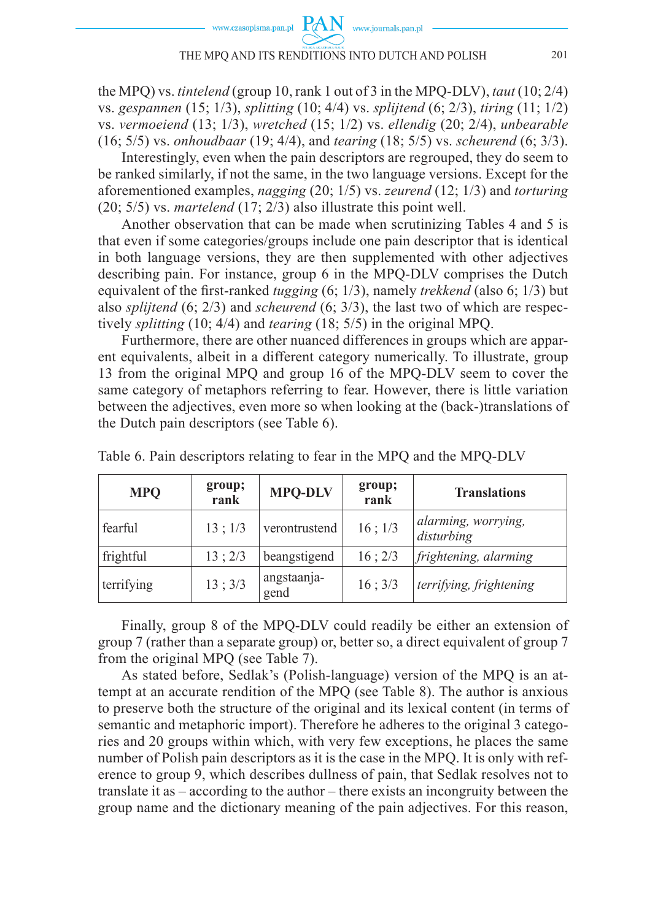the MPQ) vs. *tintelend* (group 10, rank 1 out of 3 in the MPQ-DLV), *taut* (10; 2/4) vs. *gespannen* (15; 1/3), *splitting* (10; 4/4) vs. *splijtend* (6; 2/3), *tiring* (11; 1/2) vs. *vermoeiend* (13; 1/3), *wretched* (15; 1/2) vs. *ellendig* (20; 2/4), *unbearable* (16; 5/5) vs. *onhoudbaar* (19; 4/4), and *tearing* (18; 5/5) vs. *scheurend* (6; 3/3).

Interestingly, even when the pain descriptors are regrouped, they do seem to be ranked similarly, if not the same, in the two language versions. Except for the aforementioned examples, *nagging* (20; 1/5) vs. *zeurend* (12; 1/3) and *torturing* (20; 5/5) vs. *martelend* (17; 2/3) also illustrate this point well.

Another observation that can be made when scrutinizing Tables 4 and 5 is that even if some categories/groups include one pain descriptor that is identical in both language versions, they are then supplemented with other adjectives describing pain. For instance, group 6 in the MPQ-DLV comprises the Dutch equivalent of the first-ranked *tugging* (6; 1/3), namely *trekkend* (also 6; 1/3) but also *splijtend* (6; 2/3) and *scheurend* (6; 3/3), the last two of which are respectively *splitting* (10; 4/4) and *tearing* (18; 5/5) in the original MPQ.

Furthermore, there are other nuanced differences in groups which are apparent equivalents, albeit in a different category numerically. To illustrate, group 13 from the original MPQ and group 16 of the MPQ-DLV seem to cover the same category of metaphors referring to fear. However, there is little variation between the adjectives, even more so when looking at the (back-)translations of the Dutch pain descriptors (see Table 6).

| <b>MPQ</b> | group;<br>rank | <b>MPQ-DLV</b>      | group;<br>rank   | <b>Translations</b>               |
|------------|----------------|---------------------|------------------|-----------------------------------|
| fearful    | 13; 1/3        | verontrustend       | $16$ ; $1/3$     | alarming, worrying,<br>disturbing |
| frightful  | 13; 2/3        | beangstigend        | 16:2/3           | frightening, alarming             |
| terrifying | 13:3/3         | angstaanja-<br>gend | $16 \; ; \; 3/3$ | terrifying, frightening           |

Table 6. Pain descriptors relating to fear in the MPQ and the MPQ-DLV

Finally, group 8 of the MPQ-DLV could readily be either an extension of group 7 (rather than a separate group) or, better so, a direct equivalent of group 7 from the original MPQ (see Table 7).

As stated before, Sedlak's (Polish-language) version of the MPQ is an attempt at an accurate rendition of the MPQ (see Table 8). The author is anxious to preserve both the structure of the original and its lexical content (in terms of semantic and metaphoric import). Therefore he adheres to the original 3 categories and 20 groups within which, with very few exceptions, he places the same number of Polish pain descriptors as it is the case in the MPQ. It is only with reference to group 9, which describes dullness of pain, that Sedlak resolves not to translate it as – according to the author – there exists an incongruity between the group name and the dictionary meaning of the pain adjectives. For this reason,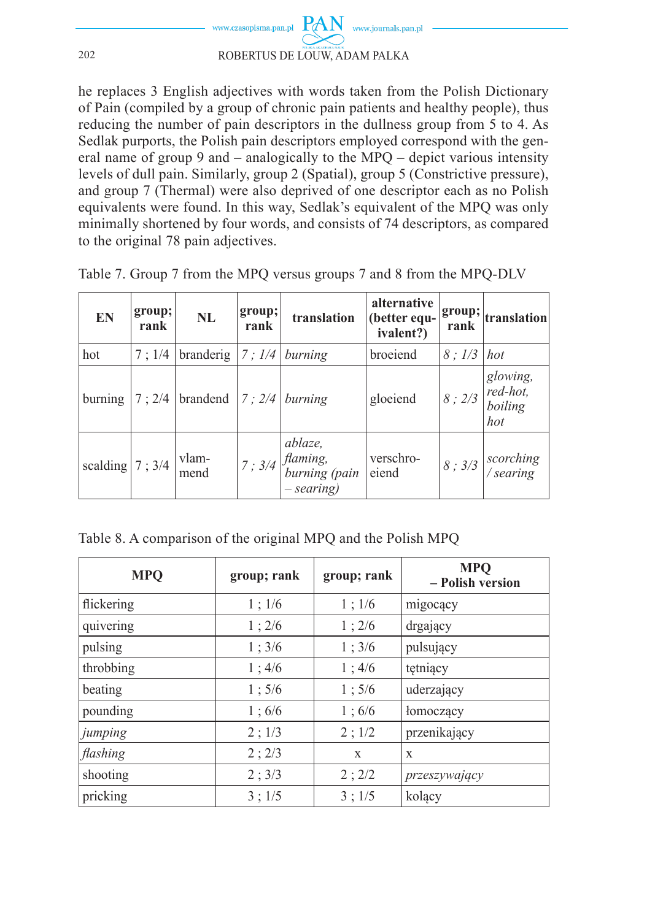

he replaces 3 English adjectives with words taken from the Polish Dictionary of Pain (compiled by a group of chronic pain patients and healthy people), thus reducing the number of pain descriptors in the dullness group from 5 to 4. As Sedlak purports, the Polish pain descriptors employed correspond with the general name of group 9 and – analogically to the MPQ – depict various intensity levels of dull pain. Similarly, group 2 (Spatial), group 5 (Constrictive pressure), and group 7 (Thermal) were also deprived of one descriptor each as no Polish equivalents were found. In this way, Sedlak's equivalent of the MPQ was only minimally shortened by four words, and consists of 74 descriptors, as compared to the original 78 pain adjectives.

| <b>EN</b>         | group;<br>rank | NL                           | group;<br>rank | translation                                                              | alternative<br>(better equ-<br>ivalent?) | rank  | $ $ group; $ $ <sub>translation</sub>  |
|-------------------|----------------|------------------------------|----------------|--------------------------------------------------------------------------|------------------------------------------|-------|----------------------------------------|
| hot               | 7:1/4          | branderig                    | 7:1/4          | burning                                                                  | broeiend                                 | 8:1/3 | hot                                    |
| burning           |                | 7 : 2/4   brandend   7 : 2/4 |                | burning                                                                  | gloeiend                                 | 8:2/3 | glowing,<br>red-hot,<br>boiling<br>hot |
| scalding $ 7;3/4$ |                | vlam-<br>mend                |                | ablaze,<br>$1_7$ ; 3/4   <i>flaming</i> ,<br>burning (pain<br>- searing) | verschro-<br>eiend                       | 8:3/3 | scorching<br>/searing                  |

Table 7. Group 7 from the MPQ versus groups 7 and 8 from the MPQ-DLV

Table 8. A comparison of the original MPQ and the Polish MPQ

| <b>MPQ</b> | group; rank | group; rank | <b>MPQ</b><br>- Polish version |
|------------|-------------|-------------|--------------------------------|
| flickering | 1; 1/6      | 1; 1/6      | migocący                       |
| quivering  | 1; 2/6      | 1; 2/6      | drgający                       |
| pulsing    | 1; 3/6      | 1; 3/6      | pulsujący                      |
| throbbing  | 1;4/6       | 1; 4/6      | tętniący                       |
| beating    | 1;5/6       | 1;5/6       | uderzający                     |
| pounding   | 1;6/6       | 1;6/6       | łomoczący                      |
| jumping    | 2; 1/3      | 2; 1/2      | przenikający                   |
| flashing   | 2; 2/3      | X           | X                              |
| shooting   | 2; 3/3      | 2; 2/2      | przeszywający                  |
| pricking   | 3:1/5       | 3:1/5       | kolący                         |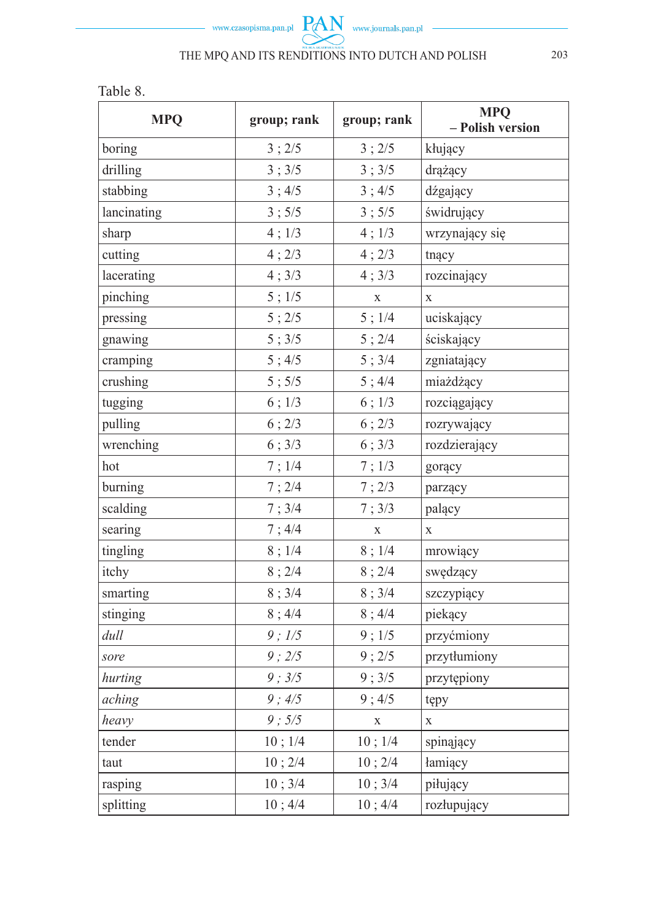

Table 8.

| <b>MPQ</b>  | group; rank | group; rank | <b>MPQ</b><br>- Polish version |
|-------------|-------------|-------------|--------------------------------|
| boring      | 3; 2/5      | 3; 2/5      | kłujący                        |
| drilling    | 3; 3/5      | 3; 3/5      | drążący                        |
| stabbing    | 3; 4/5      | 3; 4/5      | dźgający                       |
| lancinating | 3; 5/5      | 3; 5/5      | świdrujący                     |
| sharp       | 4; 1/3      | 4; 1/3      | wrzynający się                 |
| cutting     | 4;2/3       | 4;2/3       | tnący                          |
| lacerating  | 4; 3/3      | 4; 3/3      | rozcinający                    |
| pinching    | $5$ ; $1/5$ | $\mathbf X$ | $\mathbf X$                    |
| pressing    | 5; 2/5      | 5; 1/4      | uciskający                     |
| gnawing     | 5; 3/5      | 5; 2/4      | ściskający                     |
| cramping    | 5; 4/5      | 5; 3/4      | zgniatający                    |
| crushing    | 5; 5/5      | 5; 4/4      | miażdżący                      |
| tugging     | 6; 1/3      | 6; 1/3      | rozciągający                   |
| pulling     | 6; 2/3      | 6; 2/3      | rozrywający                    |
| wrenching   | 6; 3/3      | 6; 3/3      | rozdzierający                  |
| hot         | 7; 1/4      | 7; 1/3      | gorący                         |
| burning     | 7:2/4       | 7:2/3       | parzący                        |
| scalding    | 7; 3/4      | 7; 3/3      | palący                         |
| searing     | 7;4/4       | $\mathbf X$ | $\mathbf X$                    |
| tingling    | 8; 1/4      | 8;1/4       | mrowiący                       |
| itchy       | 8; 2/4      | 8; 2/4      | swędzący                       |
| smarting    | 8; 3/4      | 8; 3/4      | szczypiący                     |
| stinging    | 8; 4/4      | 8; 4/4      | piekący                        |
| dull        | $9$ ; $1/5$ | 9; 1/5      | przyćmiony                     |
| sore        | 9:2/5       | 9:2/5       | przytłumiony                   |
| hurting     | 9; 3/5      | 9; 3/5      | przytępiony                    |
| aching      | 9; 4/5      | 9; 4/5      | tępy                           |
| heavy       | 9; 5/5      | $\mathbf X$ | X                              |
| tender      | 10; 1/4     | 10; 1/4     | spinający                      |
| taut        | 10; 2/4     | 10; 2/4     | łamiący                        |
| rasping     | 10; 3/4     | 10; 3/4     | piłujący                       |
| splitting   | 10; 4/4     | 10; 4/4     | rozłupujący                    |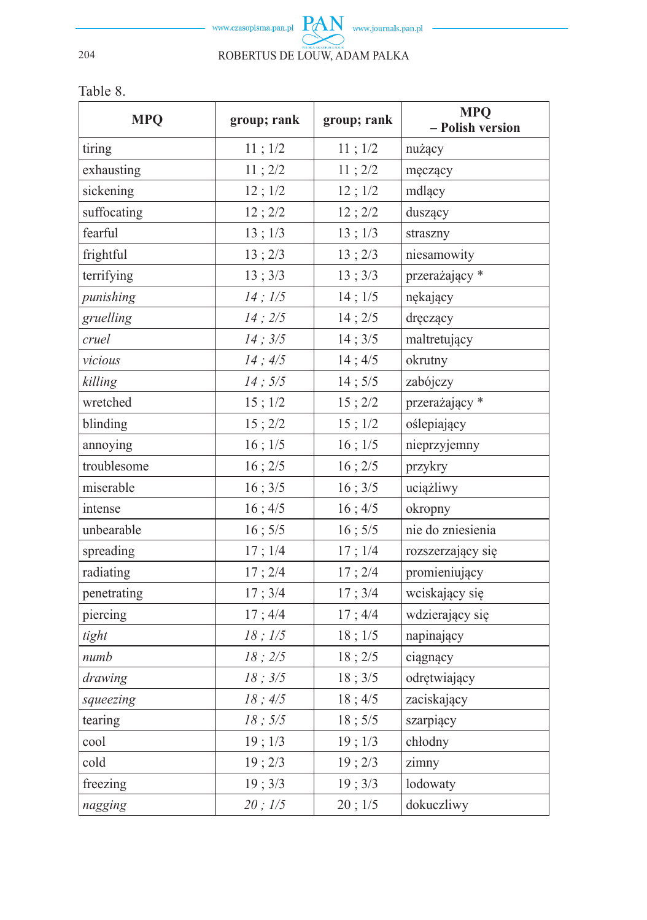

Table 8.

| <b>MPQ</b>  | group; rank  | group; rank  | <b>MPQ</b><br>- Polish version |
|-------------|--------------|--------------|--------------------------------|
| tiring      | 11; 1/2      | 11; 1/2      | nużący                         |
| exhausting  | 11; 2/2      | 11; 2/2      | męczący                        |
| sickening   | 12; 1/2      | 12; 1/2      | mdlący                         |
| suffocating | 12; 2/2      | 12; 2/2      | duszący                        |
| fearful     | 13; 1/3      | 13; 1/3      | straszny                       |
| frightful   | 13; 2/3      | 13; 2/3      | niesamowity                    |
| terrifying  | 13; 3/3      | 13; 3/3      | przerażający*                  |
| punishing   | $14$ ; $1/5$ | $14$ ; $1/5$ | nękający                       |
| gruelling   | 14:2/5       | 14; 2/5      | dręczący                       |
| cruel       | 14; 3/5      | 14; 3/5      | maltretujący                   |
| vicious     | 14; 4/5      | 14; 4/5      | okrutny                        |
| killing     | 14; 5/5      | 14; 5/5      | zabójczy                       |
| wretched    | $15$ ; $1/2$ | 15; 2/2      | przerażający*                  |
| blinding    | 15; 2/2      | 15; 1/2      | oślepiający                    |
| annoying    | $16$ ; $1/5$ | $16$ ; $1/5$ | nieprzyjemny                   |
| troublesome | 16; 2/5      | 16; 2/5      | przykry                        |
| miserable   | 16; 3/5      | 16; 3/5      | uciążliwy                      |
| intense     | 16; 4/5      | 16; 4/5      | okropny                        |
| unbearable  | 16; 5/5      | $16$ ; $5/5$ | nie do zniesienia              |
| spreading   | 17; 1/4      | 17; 1/4      | rozszerzający się              |
| radiating   | 17; 2/4      | 17; 2/4      | promieniujący                  |
| penetrating | 17; 3/4      | 17; 3/4      | wciskający się                 |
| piercing    | 17; 4/4      | 17; 4/4      | wdzierający się                |
| tight       | 18; 1/5      | 18; 1/5      | napinający                     |
| numb        | 18; 2/5      | 18; 2/5      | ciągnący                       |
| drawing     | 18; 3/5      | 18; 3/5      | odrętwiający                   |
| squeezing   | 18; 4/5      | 18; 4/5      | zaciskający                    |
| tearing     | 18; 5/5      | 18; 5/5      | szarpiący                      |
| cool        | 19; 1/3      | 19; 1/3      | chłodny                        |
| cold        | 19; 2/3      | 19; 2/3      | zimny                          |
| freezing    | 19; 3/3      | 19; 3/3      | lodowaty                       |
| nagging     | 20; 1/5      | 20; 1/5      | dokuczliwy                     |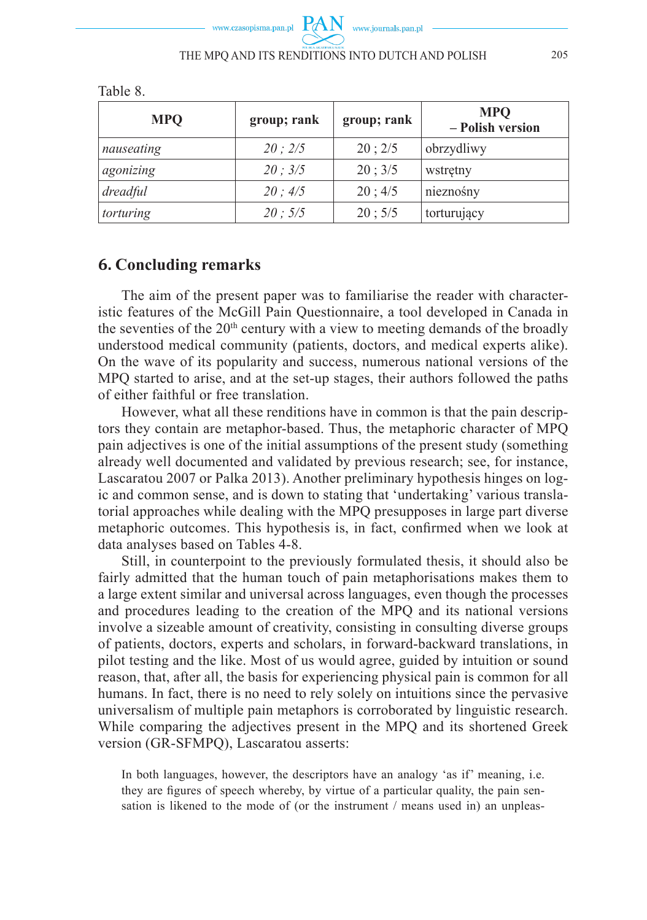| <b>MPQ</b> | group; rank | group; rank | <b>MPQ</b><br>- Polish version |
|------------|-------------|-------------|--------------------------------|
| nauseating | 20:2/5      | 20; 2/5     | obrzydliwy                     |
| agonizing  | 20:3/5      | 20; 3/5     | wstretny                       |
| dreadful   | 20; 4/5     | 20; 4/5     | nieznośny                      |
| torturing  | 20:5/5      | 20; 5/5     | torturujący                    |

Table 8.

### **6. Concluding remarks**

The aim of the present paper was to familiarise the reader with characteristic features of the McGill Pain Questionnaire, a tool developed in Canada in the seventies of the  $20<sup>th</sup>$  century with a view to meeting demands of the broadly understood medical community (patients, doctors, and medical experts alike). On the wave of its popularity and success, numerous national versions of the MPQ started to arise, and at the set-up stages, their authors followed the paths of either faithful or free translation.

However, what all these renditions have in common is that the pain descriptors they contain are metaphor-based. Thus, the metaphoric character of MPQ pain adjectives is one of the initial assumptions of the present study (something already well documented and validated by previous research; see, for instance, Lascaratou 2007 or Palka 2013). Another preliminary hypothesis hinges on logic and common sense, and is down to stating that 'undertaking' various translatorial approaches while dealing with the MPQ presupposes in large part diverse metaphoric outcomes. This hypothesis is, in fact, confirmed when we look at data analyses based on Tables 4-8.

Still, in counterpoint to the previously formulated thesis, it should also be fairly admitted that the human touch of pain metaphorisations makes them to a large extent similar and universal across languages, even though the processes and procedures leading to the creation of the MPQ and its national versions involve a sizeable amount of creativity, consisting in consulting diverse groups of patients, doctors, experts and scholars, in forward-backward translations, in pilot testing and the like. Most of us would agree, guided by intuition or sound reason, that, after all, the basis for experiencing physical pain is common for all humans. In fact, there is no need to rely solely on intuitions since the pervasive universalism of multiple pain metaphors is corroborated by linguistic research. While comparing the adjectives present in the MPQ and its shortened Greek version (GR-SFMPQ), Lascaratou asserts:

In both languages, however, the descriptors have an analogy 'as if' meaning, i.e. they are figures of speech whereby, by virtue of a particular quality, the pain sensation is likened to the mode of (or the instrument / means used in) an unpleas-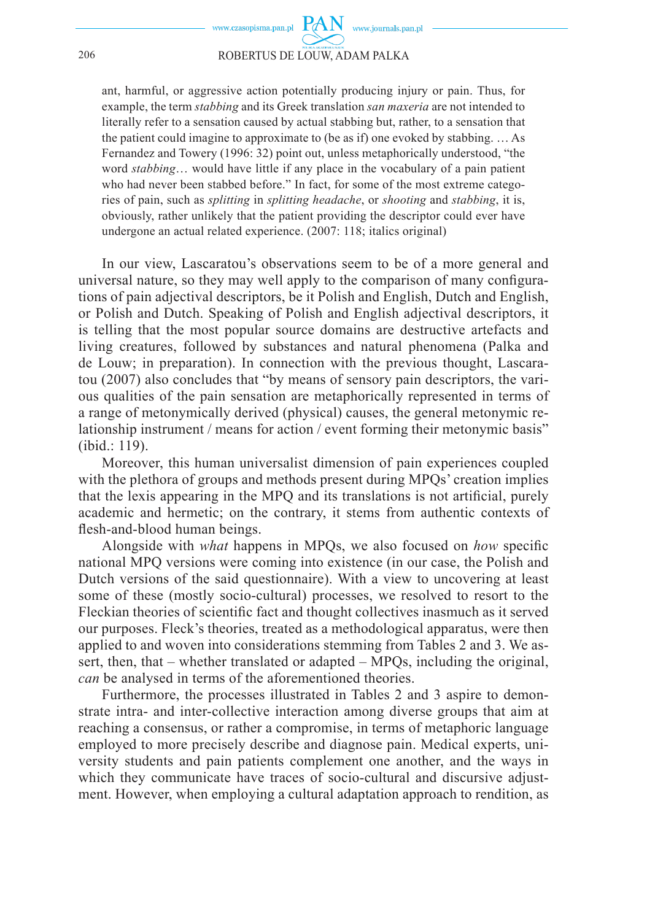#### 206 ROBERTUS DE LOUW, ADAM PALKA

ant, harmful, or aggressive action potentially producing injury or pain. Thus, for example, the term *stabbing* and its Greek translation *san maxeria* are not intended to literally refer to a sensation caused by actual stabbing but, rather, to a sensation that the patient could imagine to approximate to (be as if) one evoked by stabbing. … As Fernandez and Towery (1996: 32) point out, unless metaphorically understood, "the word *stabbing*… would have little if any place in the vocabulary of a pain patient who had never been stabbed before." In fact, for some of the most extreme categories of pain, such as *splitting* in *splitting headache*, or *shooting* and *stabbing*, it is, obviously, rather unlikely that the patient providing the descriptor could ever have undergone an actual related experience. (2007: 118; italics original)

In our view, Lascaratou's observations seem to be of a more general and universal nature, so they may well apply to the comparison of many configurations of pain adjectival descriptors, be it Polish and English, Dutch and English, or Polish and Dutch. Speaking of Polish and English adjectival descriptors, it is telling that the most popular source domains are destructive artefacts and living creatures, followed by substances and natural phenomena (Palka and de Louw; in preparation). In connection with the previous thought, Lascaratou (2007) also concludes that "by means of sensory pain descriptors, the various qualities of the pain sensation are metaphorically represented in terms of a range of metonymically derived (physical) causes, the general metonymic relationship instrument / means for action / event forming their metonymic basis" (ibid.: 119).

Moreover, this human universalist dimension of pain experiences coupled with the plethora of groups and methods present during MPQs' creation implies that the lexis appearing in the MPQ and its translations is not artificial, purely academic and hermetic; on the contrary, it stems from authentic contexts of flesh-and-blood human beings.

Alongside with *what* happens in MPQs, we also focused on *how* specific national MPQ versions were coming into existence (in our case, the Polish and Dutch versions of the said questionnaire). With a view to uncovering at least some of these (mostly socio-cultural) processes, we resolved to resort to the Fleckian theories of scientific fact and thought collectives inasmuch as it served our purposes. Fleck's theories, treated as a methodological apparatus, were then applied to and woven into considerations stemming from Tables 2 and 3. We assert, then, that – whether translated or adapted – MPQs, including the original, *can* be analysed in terms of the aforementioned theories.

Furthermore, the processes illustrated in Tables 2 and 3 aspire to demonstrate intra- and inter-collective interaction among diverse groups that aim at reaching a consensus, or rather a compromise, in terms of metaphoric language employed to more precisely describe and diagnose pain. Medical experts, university students and pain patients complement one another, and the ways in which they communicate have traces of socio-cultural and discursive adjustment. However, when employing a cultural adaptation approach to rendition, as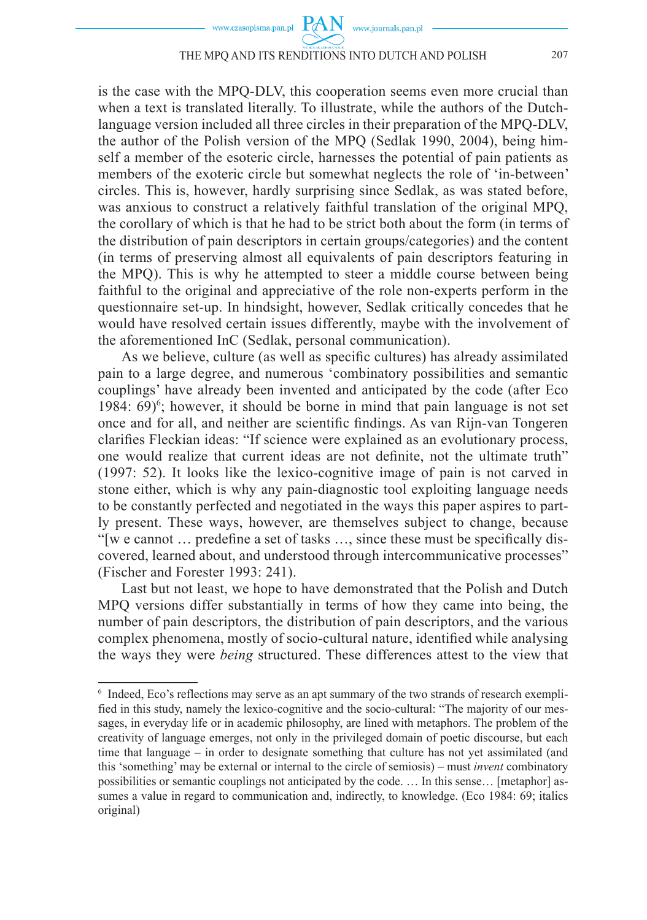www.journals.pan.pl

**PAN** 

is the case with the MPQ-DLV, this cooperation seems even more crucial than when a text is translated literally. To illustrate, while the authors of the Dutchlanguage version included all three circles in their preparation of the MPQ-DLV, the author of the Polish version of the MPQ (Sedlak 1990, 2004), being himself a member of the esoteric circle, harnesses the potential of pain patients as members of the exoteric circle but somewhat neglects the role of 'in-between' circles. This is, however, hardly surprising since Sedlak, as was stated before, was anxious to construct a relatively faithful translation of the original MPQ, the corollary of which is that he had to be strict both about the form (in terms of the distribution of pain descriptors in certain groups/categories) and the content (in terms of preserving almost all equivalents of pain descriptors featuring in the MPQ). This is why he attempted to steer a middle course between being faithful to the original and appreciative of the role non-experts perform in the questionnaire set-up. In hindsight, however, Sedlak critically concedes that he would have resolved certain issues differently, maybe with the involvement of the aforementioned InC (Sedlak, personal communication).

As we believe, culture (as well as specific cultures) has already assimilated pain to a large degree, and numerous 'combinatory possibilities and semantic couplings' have already been invented and anticipated by the code (after Eco 1984:  $69$ <sup>6</sup>; however, it should be borne in mind that pain language is not set once and for all, and neither are scientific findings. As van Rijn-van Tongeren clarifies Fleckian ideas: "If science were explained as an evolutionary process, one would realize that current ideas are not definite, not the ultimate truth" (1997: 52). It looks like the lexico-cognitive image of pain is not carved in stone either, which is why any pain-diagnostic tool exploiting language needs to be constantly perfected and negotiated in the ways this paper aspires to partly present. These ways, however, are themselves subject to change, because "[w e cannot  $\ldots$  predefine a set of tasks  $\ldots$  since these must be specifically discovered, learned about, and understood through intercommunicative processes" (Fischer and Forester 1993: 241).

Last but not least, we hope to have demonstrated that the Polish and Dutch MPQ versions differ substantially in terms of how they came into being, the number of pain descriptors, the distribution of pain descriptors, and the various complex phenomena, mostly of socio-cultural nature, identified while analysing the ways they were *being* structured. These differences attest to the view that

<sup>&</sup>lt;sup>6</sup> Indeed, Eco's reflections may serve as an apt summary of the two strands of research exemplified in this study, namely the lexico-cognitive and the socio-cultural: "The majority of our messages, in everyday life or in academic philosophy, are lined with metaphors. The problem of the creativity of language emerges, not only in the privileged domain of poetic discourse, but each time that language – in order to designate something that culture has not yet assimilated (and this 'something' may be external or internal to the circle of semiosis) – must *invent* combinatory possibilities or semantic couplings not anticipated by the code. … In this sense… [metaphor] assumes a value in regard to communication and, indirectly, to knowledge. (Eco 1984: 69; italics original)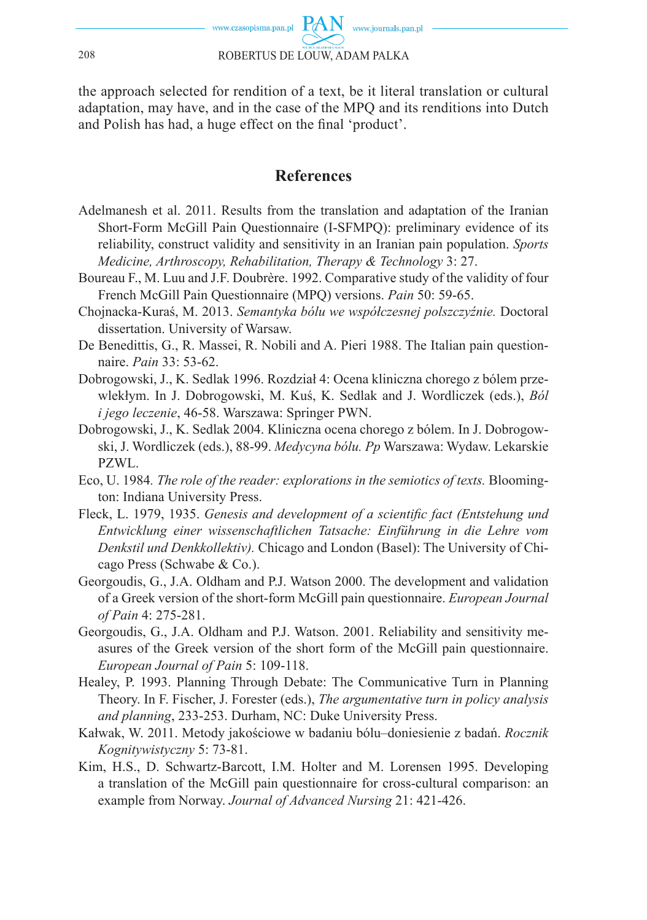

the approach selected for rendition of a text, be it literal translation or cultural adaptation, may have, and in the case of the MPQ and its renditions into Dutch and Polish has had, a huge effect on the final 'product'.

#### **References**

- Adelmanesh et al. 2011. Results from the translation and adaptation of the Iranian Short-Form McGill Pain Questionnaire (I-SFMPQ): preliminary evidence of its reliability, construct validity and sensitivity in an Iranian pain population. *Sports Medicine, Arthroscopy, Rehabilitation, Therapy & Technology* 3: 27.
- Boureau F., M. Luu and J.F. Doubrère. 1992. Comparative study of the validity of four French McGill Pain Questionnaire (MPQ) versions. *Pain* 50: 59-65.
- Chojnacka-Kuraś, M. 2013. *Semantyka bólu we współczesnej polszczyźnie.* Doctoral dissertation. University of Warsaw.
- De Benedittis, G., R. Massei, R. Nobili and A. Pieri 1988. The Italian pain questionnaire. *Pain* 33: 53-62.
- Dobrogowski, J., K. Sedlak 1996. Rozdział 4: Ocena kliniczna chorego z bólem przewlekłym. In J. Dobrogowski, M. Kuś, K. Sedlak and J. Wordliczek (eds.), *Ból i jego leczenie*, 46-58. Warszawa: Springer PWN.
- Dobrogowski, J., K. Sedlak 2004. Kliniczna ocena chorego z bólem. In J. Dobrogowski, J. Wordliczek (eds.), 88-99. *Medycyna bólu. Pp* Warszawa: Wydaw. Lekarskie PZWL.
- Eco, U. 1984*. The role of the reader: explorations in the semiotics of texts.* Bloomington: Indiana University Press.
- Fleck, L. 1979, 1935. *Genesis and development of a scientific fact (Entstehung und Entwicklung einer wissenschaftlichen Tatsache: Einführung in die Lehre vom Denkstil und Denkkollektiv).* Chicago and London (Basel): The University of Chicago Press (Schwabe & Co.).
- Georgoudis, G., J.A. Oldham and P.J. Watson 2000. The development and validation of a Greek version of the short-form McGill pain questionnaire. *European Journal of Pain* 4: 275-281.
- Georgoudis, G., J.A. Oldham and P.J. Watson. 2001. Reliability and sensitivity measures of the Greek version of the short form of the McGill pain questionnaire. *European Journal of Pain* 5: 109-118.
- Healey, P. 1993. Planning Through Debate: The Communicative Turn in Planning Theory. In F. Fischer, J. Forester (eds.), *The argumentative turn in policy analysis and planning*, 233-253. Durham, NC: Duke University Press.
- Kałwak, W. 2011. Metody jakościowe w badaniu bólu–doniesienie z badań. *Rocznik Kognitywistyczny* 5: 73-81.
- Kim, H.S., D. Schwartz-Barcott, I.M. Holter and M. Lorensen 1995. Developing a translation of the McGill pain questionnaire for cross-cultural comparison: an example from Norway. *Journal of Advanced Nursing* 21: 421-426.